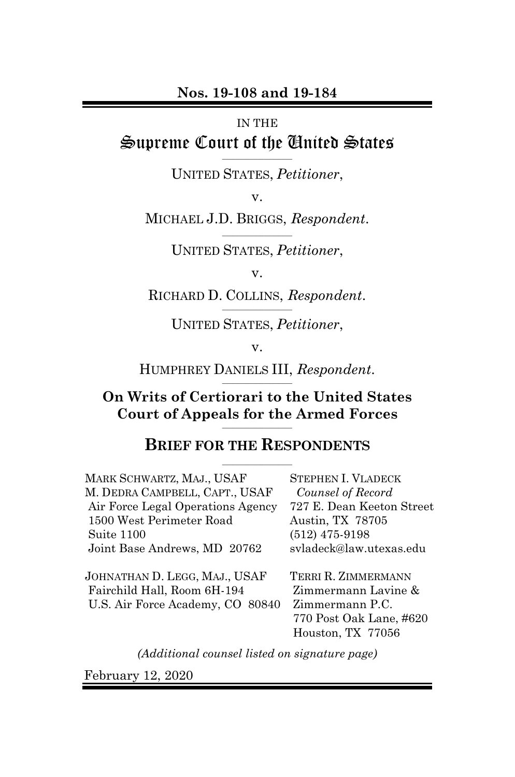#### **Nos. 19-108 and 19-184**

#### IN THE

#### Supreme Court of the United States **\_\_\_\_\_\_\_\_\_\_\_\_\_\_\_\_\_\_\_\_**

UNITED STATES, *Petitioner*,

v.

MICHAEL J.D. BRIGGS, *Respondent*. **\_\_\_\_\_\_\_\_\_\_\_\_\_\_\_\_\_\_\_\_** 

UNITED STATES, *Petitioner*,

v.

RICHARD D. COLLINS, *Respondent*. **\_\_\_\_\_\_\_\_\_\_\_\_\_\_\_\_\_\_\_\_** 

UNITED STATES, *Petitioner*,

v.

HUMPHREY DANIELS III, *Respondent*. **\_\_\_\_\_\_\_\_\_\_\_\_\_\_\_\_\_\_\_\_** 

#### **On Writs of Certiorari to the United States Court of Appeals for the Armed Forces \_\_\_\_\_\_\_\_\_\_\_\_\_\_\_\_\_\_\_\_**

### **BRIEF FOR THE RESPONDENTS \_\_\_\_\_\_\_\_\_\_\_\_\_\_\_\_\_\_\_\_**

| MARK SCHWARTZ, MAJ., USAF                                                                        | <b>STEPHEN I. VLADECK</b>                                                                                     |
|--------------------------------------------------------------------------------------------------|---------------------------------------------------------------------------------------------------------------|
| M. DEDRA CAMPBELL, CAPT., USAF                                                                   | Counsel of Record                                                                                             |
| Air Force Legal Operations Agency                                                                | 727 E. Dean Keeton Street                                                                                     |
| 1500 West Perimeter Road                                                                         | Austin, TX 78705                                                                                              |
| Suite 1100                                                                                       | $(512)$ 475-9198                                                                                              |
| Joint Base Andrews, MD 20762                                                                     | svladeck@law.utexas.edu                                                                                       |
| JOHNATHAN D. LEGG, MAJ., USAF<br>Fairchild Hall, Room 6H-194<br>U.S. Air Force Academy, CO 80840 | TERRI R. ZIMMERMANN<br>Zimmermann Lavine &<br>Zimmermann P.C.<br>770 Post Oak Lane, #620<br>Houston, TX 77056 |

*(Additional counsel listed on signature page)* 

February 12, 2020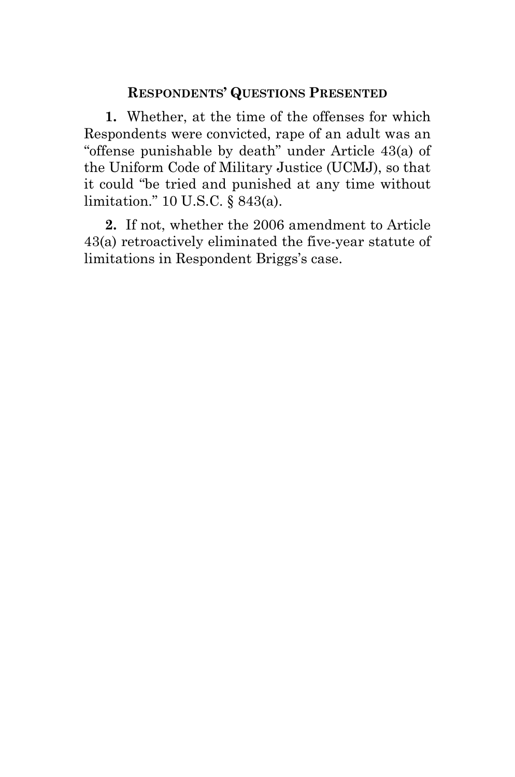# **RESPONDENTS' QUESTIONS PRESENTED**

<span id="page-2-0"></span>**1.** Whether, at the time of the offenses for which Respondents were convicted, rape of an adult was an "offense punishable by death" under Article 43(a) of the Uniform Code of Military Justice (UCMJ), so that it could "be tried and punished at any time without limitation." 10 U.S.C. § 843(a).

**2.** If not, whether the 2006 amendment to Article 43(a) retroactively eliminated the five-year statute of limitations in Respondent Briggs's case.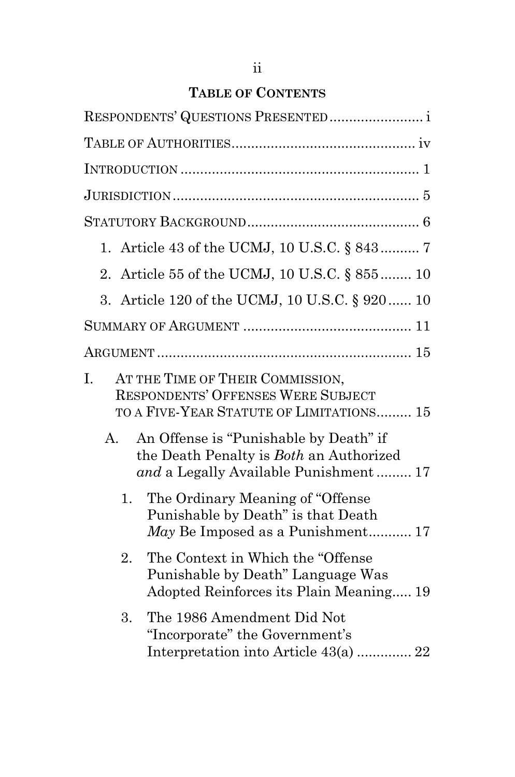# **TABLE OF CONTENTS**

|                | RESPONDENTS' QUESTIONS PRESENTED i                                                                                                 |
|----------------|------------------------------------------------------------------------------------------------------------------------------------|
|                |                                                                                                                                    |
|                |                                                                                                                                    |
|                |                                                                                                                                    |
|                |                                                                                                                                    |
|                |                                                                                                                                    |
| 2 <sup>1</sup> | Article 55 of the UCMJ, 10 U.S.C. § 855 10                                                                                         |
| 3.             | Article 120 of the UCMJ, 10 U.S.C. § 920 10                                                                                        |
|                |                                                                                                                                    |
|                |                                                                                                                                    |
| I.             | AT THE TIME OF THEIR COMMISSION,<br><b>RESPONDENTS' OFFENSES WERE SUBJECT</b><br>TO A FIVE-YEAR STATUTE OF LIMITATIONS 15          |
| A.             | An Offense is "Punishable by Death" if<br>the Death Penalty is <i>Both</i> an Authorized<br>and a Legally Available Punishment  17 |
| 1.             | The Ordinary Meaning of "Offense"<br>Punishable by Death" is that Death<br>May Be Imposed as a Punishment 17                       |
| 2.             | The Context in Which the "Offense"<br>Punishable by Death" Language Was<br>Adopted Reinforces its Plain Meaning 19                 |
| 3.             | The 1986 Amendment Did Not<br>"Incorporate" the Government's<br>Interpretation into Article 43(a)  22                              |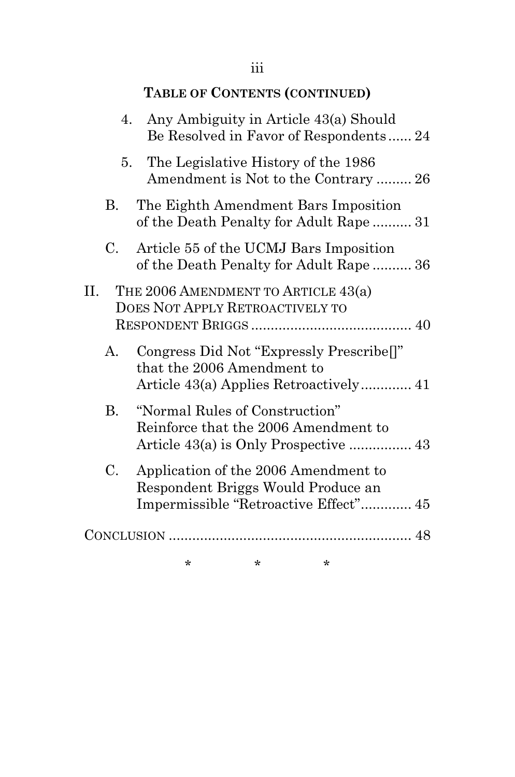# **TABLE OF CONTENTS (CONTINUED)**

| 4.          | Any Ambiguity in Article 43(a) Should<br>Be Resolved in Favor of Respondents 24                                     |
|-------------|---------------------------------------------------------------------------------------------------------------------|
| 5.          | The Legislative History of the 1986<br>Amendment is Not to the Contrary  26                                         |
| В.          | The Eighth Amendment Bars Imposition<br>of the Death Penalty for Adult Rape 31                                      |
| $C_{\cdot}$ | Article 55 of the UCMJ Bars Imposition<br>of the Death Penalty for Adult Rape 36                                    |
| II.         | THE 2006 AMENDMENT TO ARTICLE 43(a)<br><b>DOES NOT APPLY RETROACTIVELY TO</b>                                       |
| A.          | Congress Did Not "Expressly Prescribe <sup>[]"</sup><br>that the 2006 Amendment to                                  |
| B.          | "Normal Rules of Construction"<br>Reinforce that the 2006 Amendment to                                              |
| $C_{\cdot}$ | Application of the 2006 Amendment to<br>Respondent Briggs Would Produce an<br>Impermissible "Retroactive Effect" 45 |
|             |                                                                                                                     |

\* \* \*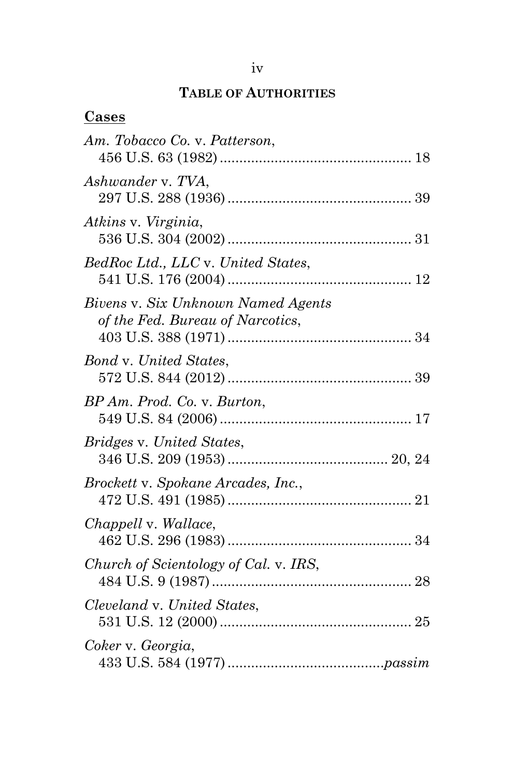# **TABLE OF AUTHORITIES**

# <span id="page-5-0"></span>**Cases**

| Am. Tobacco Co. v. Patterson,                                          |
|------------------------------------------------------------------------|
| Ashwander v. TVA,                                                      |
| Atkins v. Virginia,                                                    |
| BedRoc Ltd., LLC v. United States,                                     |
| Bivens v. Six Unknown Named Agents<br>of the Fed. Bureau of Narcotics, |
| <b>Bond v. United States,</b>                                          |
| BP Am. Prod. Co. v. Burton,                                            |
| Bridges v. United States,                                              |
| Brockett v. Spokane Arcades, Inc.,                                     |
| Chappell v. Wallace,                                                   |
| Church of Scientology of Cal. v. IRS,                                  |
| Cleveland v. United States,                                            |
| Coker v. Georgia,                                                      |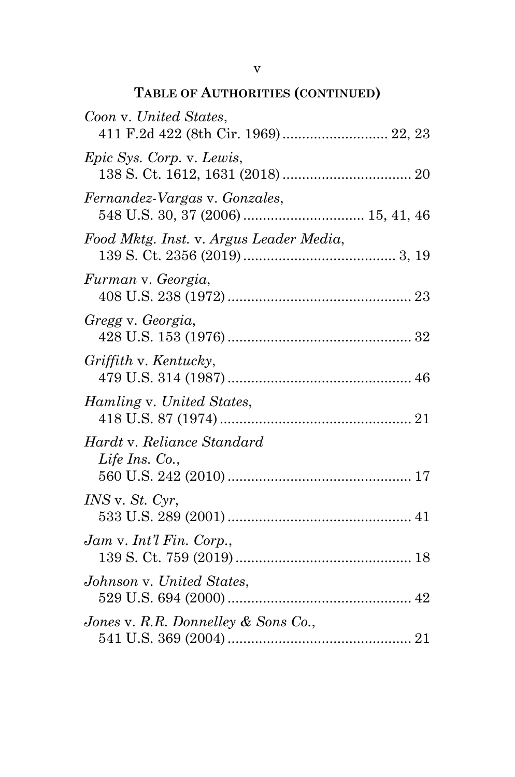| Coon v. United States,<br>411 F.2d 422 (8th Cir. 1969) 22, 23 |
|---------------------------------------------------------------|
| <i>Epic Sys. Corp. v. Lewis,</i>                              |
| Fernandez-Vargas v. Gonzales,                                 |
| Food Mktg. Inst. v. Argus Leader Media,                       |
| Furman v. Georgia,                                            |
| Gregg v. Georgia,                                             |
| Griffith v. Kentucky,                                         |
| Hamling v. United States,                                     |
| Hardt v. Reliance Standard<br>Life Ins. Co.,                  |
| $INS$ v. $St.$ Cyr,                                           |
| Jam v. Int'l Fin. Corp.,                                      |
| Johnson v. United States,                                     |
| Jones v. R.R. Donnelley $\&$ Sons Co.,                        |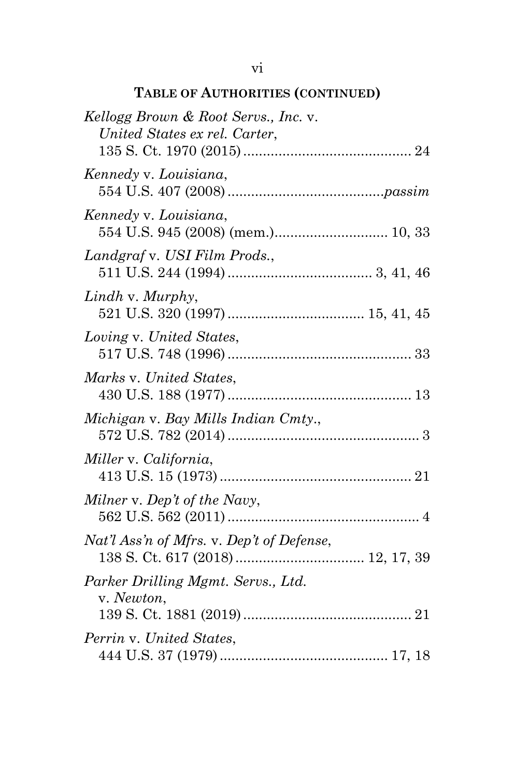| Kellogg Brown & Root Servs., Inc. v.<br>United States ex rel. Carter, |
|-----------------------------------------------------------------------|
| Kennedy v. Louisiana,                                                 |
| Kennedy v. Louisiana,                                                 |
| Landgraf v. USI Film Prods.,                                          |
| Lindh v. Murphy,                                                      |
| Loving v. United States,                                              |
| Marks v. United States,                                               |
| Michigan v. Bay Mills Indian Cmty.,                                   |
| Miller v. California,                                                 |
| Milner v. Dep't of the Navy,                                          |
| Nat'l Ass'n of Mfrs. v. Dep't of Defense,                             |
| Parker Drilling Mgmt. Servs., Ltd.<br>v. Newton,                      |
| Perrin v. United States,                                              |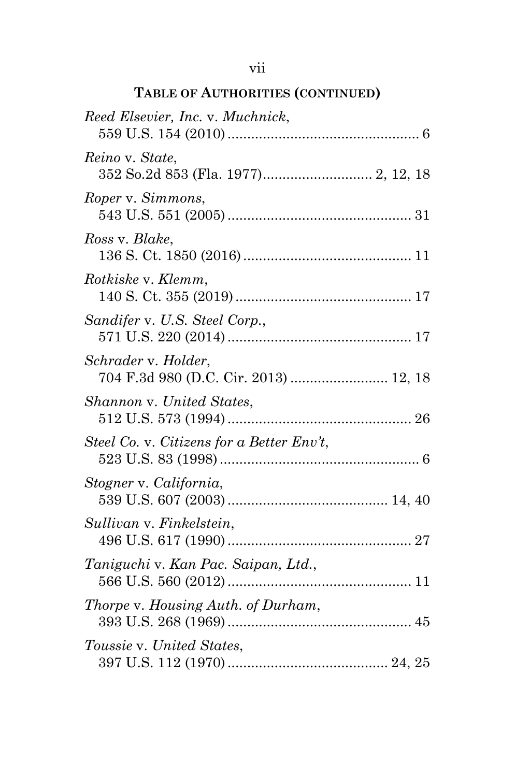| Reed Elsevier, Inc. v. Muchnick,                             |
|--------------------------------------------------------------|
| Reino v. State,                                              |
| Roper v. Simmons,                                            |
| Ross v. Blake,                                               |
| Rotkiske v. Klemm,                                           |
| Sandifer v. U.S. Steel Corp.,                                |
| Schrader v. Holder,<br>704 F.3d 980 (D.C. Cir. 2013)  12, 18 |
| Shannon v. United States,                                    |
| Steel Co. v. Citizens for a Better Env't,                    |
| Stogner v. California,                                       |
| Sullivan v. Finkelstein,                                     |
| Taniguchi v. Kan Pac. Saipan, Ltd.,                          |
| Thorpe v. Housing Auth. of Durham,                           |
| Toussie v. United States,                                    |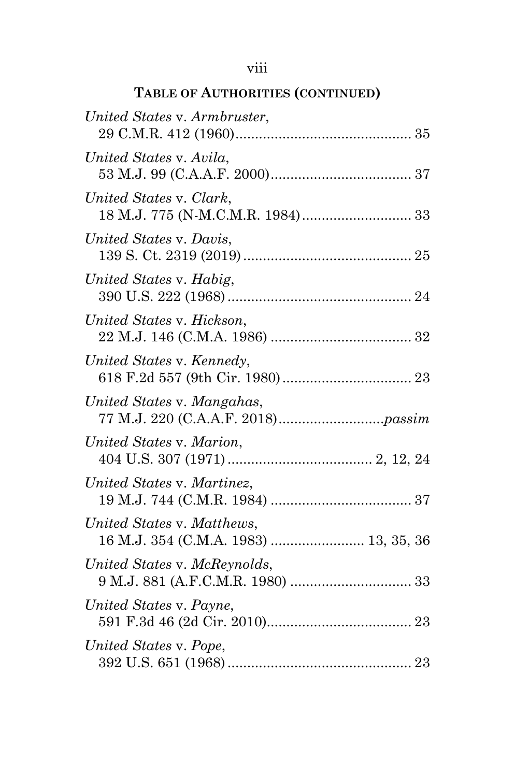## viii

| United States v. Armbruster,                                        |
|---------------------------------------------------------------------|
| United States v. Avila,                                             |
| United States v. Clark,                                             |
| United States v. Davis.                                             |
| United States v. Habig,                                             |
| United States v. Hickson,                                           |
| United States v. Kennedy,                                           |
| United States v. Mangahas,                                          |
| United States v. Marion,                                            |
| United States v. Martinez,                                          |
| United States v. Matthews.<br>16 M.J. 354 (C.M.A. 1983)  13, 35, 36 |
| United States v. McReynolds,                                        |
| United States v. Payne,                                             |
| United States v. Pope,                                              |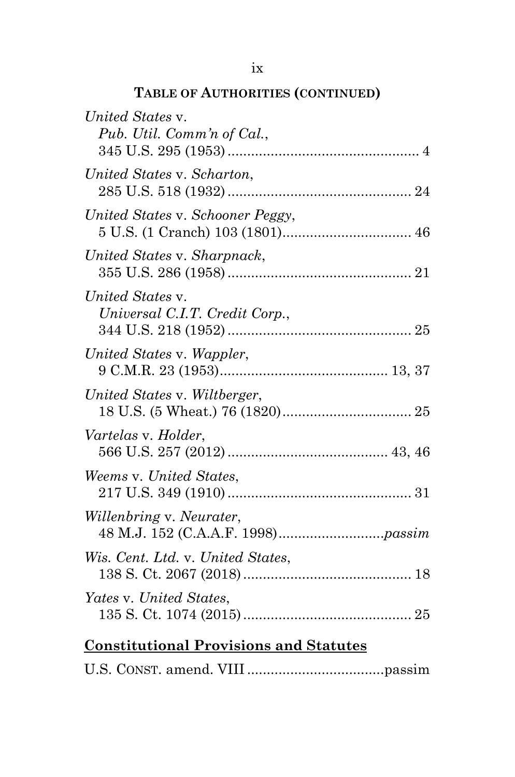| United States v.<br>Pub. Util. Comm'n of Cal.,     |
|----------------------------------------------------|
| United States v. Scharton,                         |
| United States v. Schooner Peggy,                   |
| United States v. Sharpnack,                        |
| United States v.<br>Universal C.I.T. Credit Corp., |
| United States v. Wappler,                          |
| United States v. Wiltberger,                       |
| <i>Vartelas</i> v. Holder,                         |
| Weems v. United States,                            |
| Willenbring v. Neurater,                           |
| <i>Wis. Cent. Ltd. v. United States,</i>           |
| Yates v. United States,                            |
|                                                    |

# **Constitutional Provisions and Statutes**

|--|--|--|--|--|--|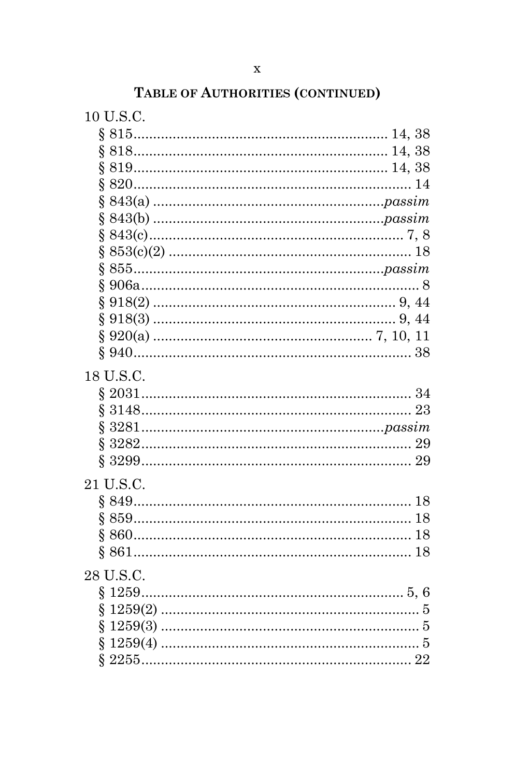| 10 U.S.C. |  |
|-----------|--|
|           |  |
|           |  |
|           |  |
|           |  |
| Ş         |  |
|           |  |
|           |  |
|           |  |
|           |  |
|           |  |
|           |  |
|           |  |
|           |  |
|           |  |
| 18 U.S.C. |  |
|           |  |
|           |  |
|           |  |
|           |  |
|           |  |
| 21 U.S.C. |  |
|           |  |
|           |  |
|           |  |
|           |  |
|           |  |
| 28 U.S.C. |  |
|           |  |
| Ş         |  |
| Ş         |  |
|           |  |
|           |  |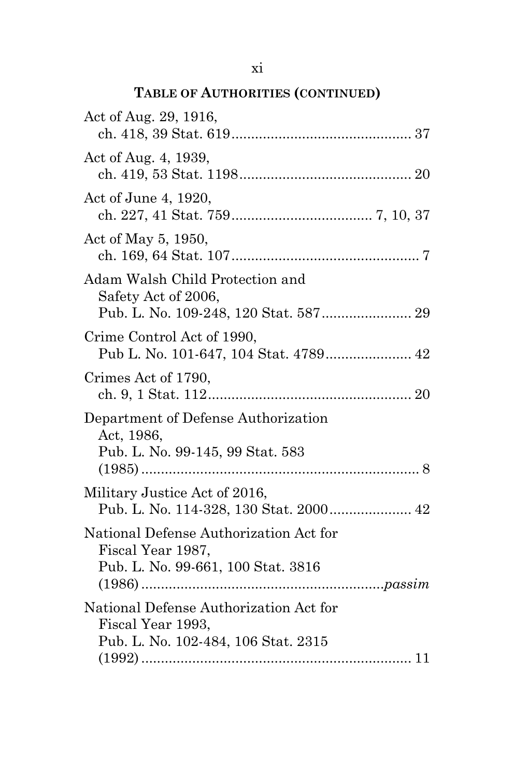| Act of Aug. 29, 1916,                                                                              |
|----------------------------------------------------------------------------------------------------|
| Act of Aug. 4, 1939,                                                                               |
| Act of June 4, 1920,                                                                               |
| Act of May 5, 1950,                                                                                |
| Adam Walsh Child Protection and<br>Safety Act of 2006,                                             |
| Crime Control Act of 1990,<br>Pub L. No. 101-647, 104 Stat. 4789 42                                |
| Crimes Act of 1790,                                                                                |
| Department of Defense Authorization<br>Act, 1986,<br>Pub. L. No. 99-145, 99 Stat. 583              |
| Military Justice Act of 2016,<br>Pub. L. No. 114-328, 130 Stat. 2000 42                            |
| National Defense Authorization Act for<br>Fiscal Year 1987,<br>Pub. L. No. 99-661, 100 Stat. 3816  |
| National Defense Authorization Act for<br>Fiscal Year 1993,<br>Pub. L. No. 102-484, 106 Stat. 2315 |
|                                                                                                    |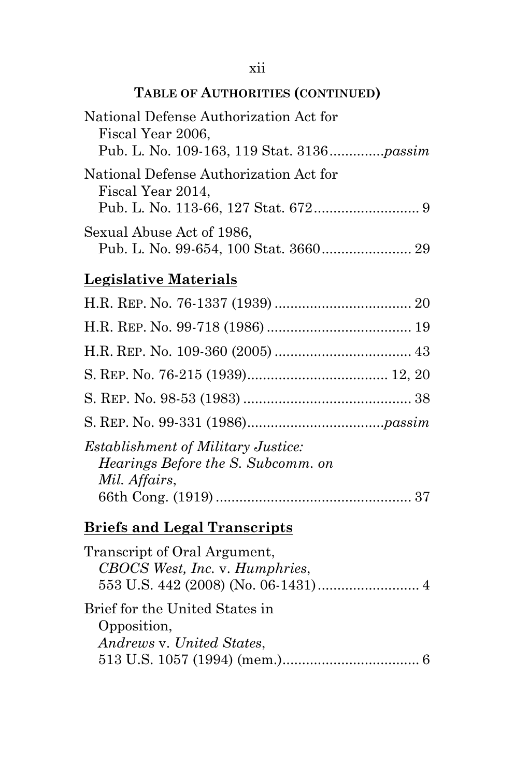| National Defense Authorization Act for |  |
|----------------------------------------|--|
| Fiscal Year 2006.                      |  |
|                                        |  |
| National Defense Authorization Act for |  |
| Fiscal Year 2014,                      |  |
|                                        |  |
| Sexual Abuse Act of 1986,              |  |
|                                        |  |

# **Legislative Materials**

| <i>Establishment of Military Justice:</i> |  |
|-------------------------------------------|--|
| Hearings Before the S. Subcomm. on        |  |
| Mil. Affairs,                             |  |
|                                           |  |

# **Briefs and Legal Transcripts**

| Transcript of Oral Argument,   |  |
|--------------------------------|--|
| CBOCS West, Inc. v. Humphries, |  |
|                                |  |
| Brief for the United States in |  |
| Opposition,                    |  |
| Andrews v. United States,      |  |
|                                |  |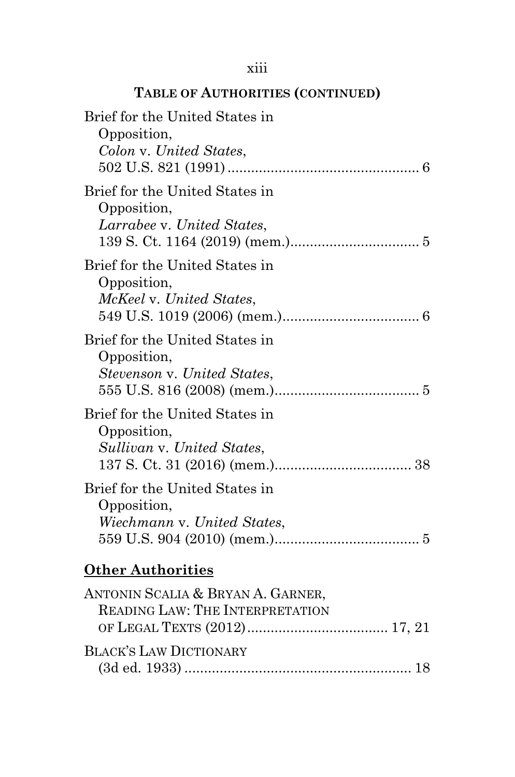# xiii

| Brief for the United States in<br>Opposition,<br>Colon v. United States,     |
|------------------------------------------------------------------------------|
| Brief for the United States in<br>Opposition,<br>Larrabee v. United States,  |
| Brief for the United States in<br>Opposition,<br>McKeel v. United States,    |
| Brief for the United States in<br>Opposition,<br>Stevenson v. United States, |
| Brief for the United States in<br>Opposition,<br>Sullivan v. United States,  |
| Brief for the United States in<br>Opposition,<br>Wiechmann v. United States, |
| <b>Other Authorities</b>                                                     |
| ANTONIN SCALIA & BRYAN A. GARNER,<br>READING LAW: THE INTERPRETATION         |
| <b>BLACK'S LAW DICTIONARY</b>                                                |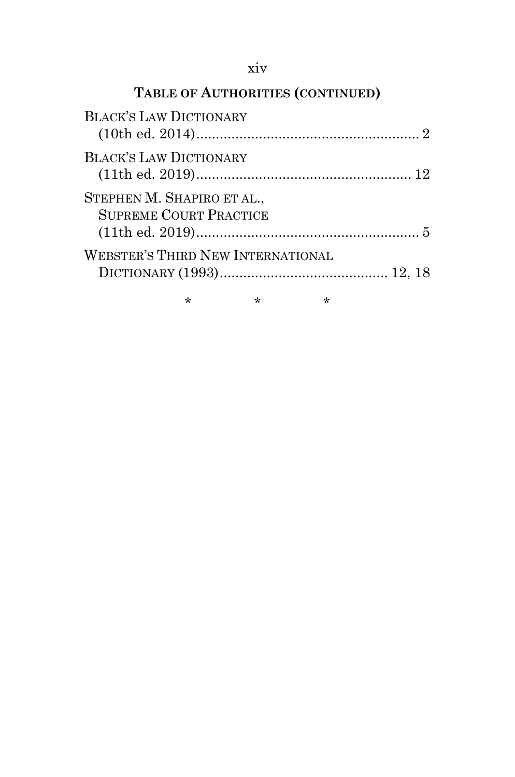| <b>BLACK'S LAW DICTIONARY</b>                               |  |  |
|-------------------------------------------------------------|--|--|
| <b>BLACK'S LAW DICTIONARY</b>                               |  |  |
| STEPHEN M. SHAPIRO ET AL.,<br><b>SUPREME COURT PRACTICE</b> |  |  |
| <b>WEBSTER'S THIRD NEW INTERNATIONAL</b>                    |  |  |
|                                                             |  |  |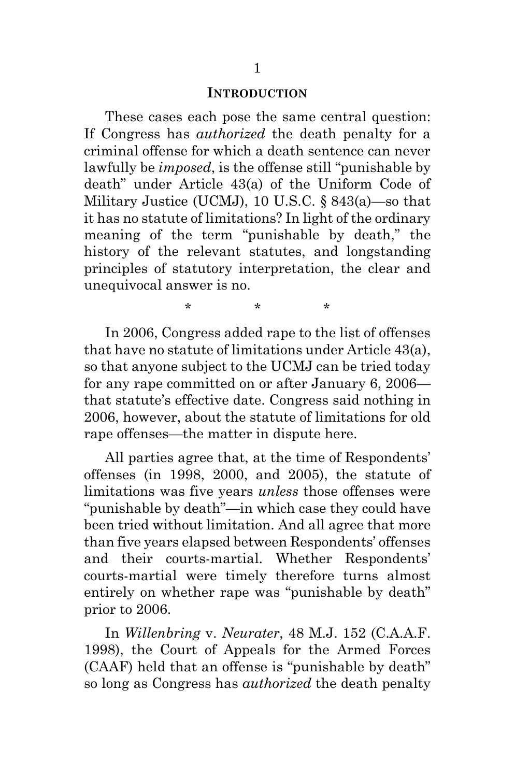#### **INTRODUCTION**

<span id="page-16-0"></span>These cases each pose the same central question: If Congress has *authorized* the death penalty for a criminal offense for which a death sentence can never lawfully be *imposed*, is the offense still "punishable by death" under Article 43(a) of the Uniform Code of Military Justice (UCMJ), 10 U.S.C. § 843(a)—so that it has no statute of limitations? In light of the ordinary meaning of the term "punishable by death," the history of the relevant statutes, and longstanding principles of statutory interpretation, the clear and unequivocal answer is no.

In 2006, Congress added rape to the list of offenses that have no statute of limitations under Article 43(a), so that anyone subject to the UCMJ can be tried today for any rape committed on or after January 6, 2006 that statute's effective date. Congress said nothing in 2006, however, about the statute of limitations for old rape offenses—the matter in dispute here.

\* \* \*

All parties agree that, at the time of Respondents' offenses (in 1998, 2000, and 2005), the statute of limitations was five years *unless* those offenses were "punishable by death"—in which case they could have been tried without limitation. And all agree that more than five years elapsed between Respondents' offenses and their courts-martial. Whether Respondents' courts-martial were timely therefore turns almost entirely on whether rape was "punishable by death" prior to 2006.

In *Willenbring* v. *Neurater*, 48 M.J. 152 (C.A.A.F. 1998), the Court of Appeals for the Armed Forces (CAAF) held that an offense is "punishable by death" so long as Congress has *authorized* the death penalty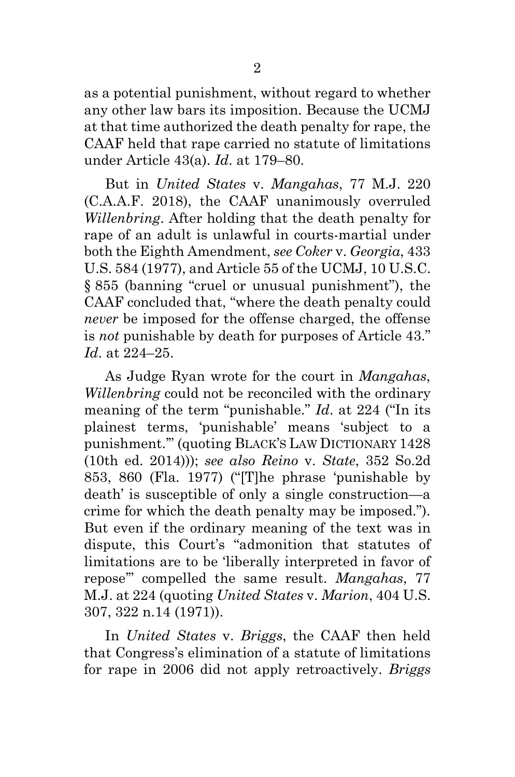as a potential punishment, without regard to whether any other law bars its imposition. Because the UCMJ at that time authorized the death penalty for rape, the CAAF held that rape carried no statute of limitations under Article 43(a). *Id*. at 179–80.

But in *United States* v. *Mangahas*, 77 M.J. 220 (C.A.A.F. 2018), the CAAF unanimously overruled *Willenbring*. After holding that the death penalty for rape of an adult is unlawful in courts-martial under both the Eighth Amendment, *see Coker* v. *Georgia*, 433 U.S. 584 (1977), and Article 55 of the UCMJ, 10 U.S.C. § 855 (banning "cruel or unusual punishment"), the CAAF concluded that, "where the death penalty could *never* be imposed for the offense charged, the offense is *not* punishable by death for purposes of Article 43." *Id*. at 224–25.

As Judge Ryan wrote for the court in *Mangahas*, *Willenbring* could not be reconciled with the ordinary meaning of the term "punishable." *Id*. at 224 ("In its plainest terms, 'punishable' means 'subject to a punishment.'" (quoting BLACK'S LAW DICTIONARY 1428 (10th ed. 2014))); *see also Reino* v. *State*, 352 So.2d 853, 860 (Fla. 1977) ("[T]he phrase 'punishable by death' is susceptible of only a single construction—a crime for which the death penalty may be imposed."). But even if the ordinary meaning of the text was in dispute, this Court's "admonition that statutes of limitations are to be 'liberally interpreted in favor of repose'" compelled the same result. *Mangahas*, 77 M.J. at 224 (quoting *United States* v. *Marion*, 404 U.S. 307, 322 n.14 (1971)).

In *United States* v. *Briggs*, the CAAF then held that Congress's elimination of a statute of limitations for rape in 2006 did not apply retroactively. *Briggs*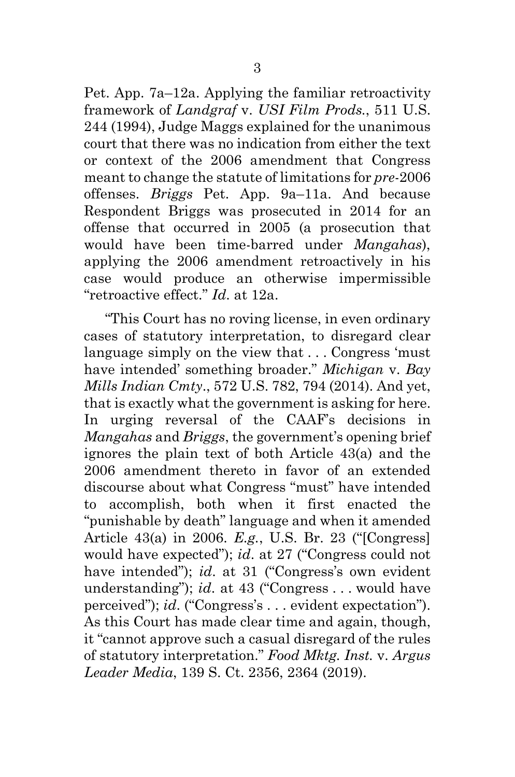Pet. App. 7a–12a. Applying the familiar retroactivity framework of *Landgraf* v. *USI Film Prods.*, 511 U.S. 244 (1994), Judge Maggs explained for the unanimous court that there was no indication from either the text or context of the 2006 amendment that Congress meant to change the statute of limitations for *pre*-2006 offenses. *Briggs* Pet. App. 9a–11a. And because Respondent Briggs was prosecuted in 2014 for an offense that occurred in 2005 (a prosecution that would have been time-barred under *Mangahas*), applying the 2006 amendment retroactively in his case would produce an otherwise impermissible "retroactive effect." *Id*. at 12a.

"This Court has no roving license, in even ordinary cases of statutory interpretation, to disregard clear language simply on the view that . . . Congress 'must have intended' something broader." *Michigan* v. *Bay Mills Indian Cmty*., 572 U.S. 782, 794 (2014). And yet, that is exactly what the government is asking for here. In urging reversal of the CAAF's decisions in *Mangahas* and *Briggs*, the government's opening brief ignores the plain text of both Article 43(a) and the 2006 amendment thereto in favor of an extended discourse about what Congress "must" have intended to accomplish, both when it first enacted the "punishable by death" language and when it amended Article 43(a) in 2006. *E.g.*, U.S. Br. 23 ("[Congress] would have expected"); *id*. at 27 ("Congress could not have intended"); *id*. at 31 ("Congress's own evident understanding"); *id*. at 43 ("Congress . . . would have perceived"); *id*. ("Congress's . . . evident expectation"). As this Court has made clear time and again, though, it "cannot approve such a casual disregard of the rules of statutory interpretation." *Food Mktg. Inst.* v. *Argus Leader Media*, 139 S. Ct. 2356, 2364 (2019).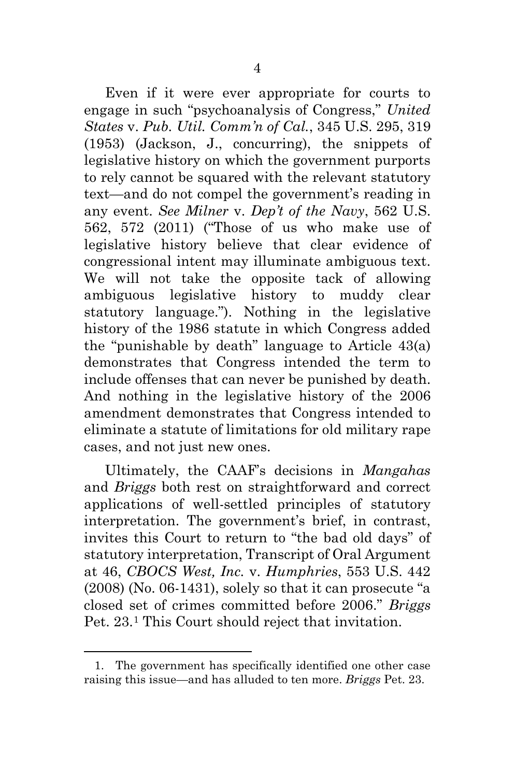Even if it were ever appropriate for courts to engage in such "psychoanalysis of Congress," *United States* v. *Pub. Util. Comm'n of Cal.*, 345 U.S. 295, 319 (1953) (Jackson, J., concurring), the snippets of legislative history on which the government purports to rely cannot be squared with the relevant statutory text—and do not compel the government's reading in any event. *See Milner* v. *Dep't of the Navy*, 562 U.S. 562, 572 (2011) ("Those of us who make use of legislative history believe that clear evidence of congressional intent may illuminate ambiguous text. We will not take the opposite tack of allowing ambiguous legislative history to muddy clear statutory language."). Nothing in the legislative history of the 1986 statute in which Congress added the "punishable by death" language to Article 43(a) demonstrates that Congress intended the term to include offenses that can never be punished by death. And nothing in the legislative history of the 2006 amendment demonstrates that Congress intended to eliminate a statute of limitations for old military rape cases, and not just new ones.

Ultimately, the CAAF's decisions in *Mangahas* and *Briggs* both rest on straightforward and correct applications of well-settled principles of statutory interpretation. The government's brief, in contrast, invites this Court to return to "the bad old days" of statutory interpretation, Transcript of Oral Argument at 46, *CBOCS West, Inc.* v. *Humphries*, 553 U.S. 442 (2008) (No. 06-1431), solely so that it can prosecute "a closed set of crimes committed before 2006." *Briggs* Pet. 23[.1](#page-19-0) This Court should reject that invitation.

<span id="page-19-0"></span><sup>1.</sup> The government has specifically identified one other case raising this issue—and has alluded to ten more. *Briggs* Pet. 23.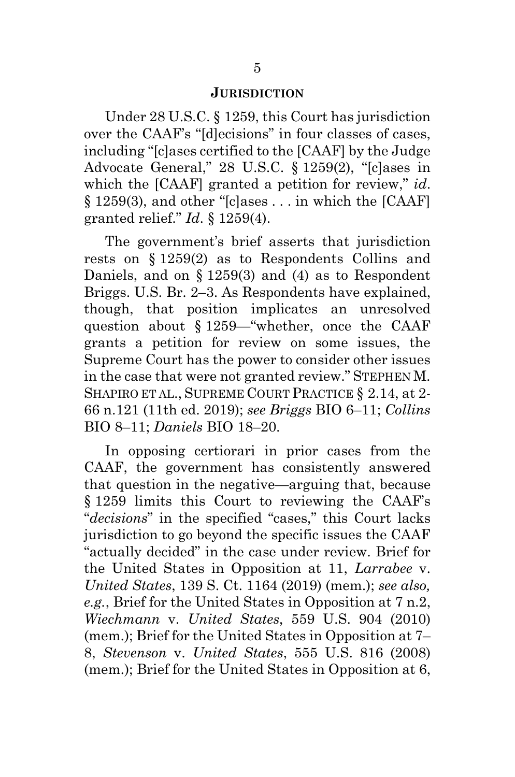#### **JURISDICTION**

<span id="page-20-0"></span>Under 28 U.S.C. § 1259, this Court has jurisdiction over the CAAF's "[d]ecisions" in four classes of cases, including "[c]ases certified to the [CAAF] by the Judge Advocate General," 28 U.S.C. § 1259(2), "[c]ases in which the [CAAF] granted a petition for review," *id*. § 1259(3), and other "[c]ases . . . in which the [CAAF] granted relief." *Id*. § 1259(4).

The government's brief asserts that jurisdiction rests on § 1259(2) as to Respondents Collins and Daniels, and on § 1259(3) and (4) as to Respondent Briggs. U.S. Br. 2–3. As Respondents have explained, though, that position implicates an unresolved question about § 1259—"whether, once the CAAF grants a petition for review on some issues, the Supreme Court has the power to consider other issues in the case that were not granted review." STEPHEN M. SHAPIRO ET AL., SUPREME COURT PRACTICE § 2.14, at 2- 66 n.121 (11th ed. 2019); *see Briggs* BIO 6–11; *Collins* BIO 8–11; *Daniels* BIO 18–20.

In opposing certiorari in prior cases from the CAAF, the government has consistently answered that question in the negative—arguing that, because § 1259 limits this Court to reviewing the CAAF's "*decisions*" in the specified "cases," this Court lacks jurisdiction to go beyond the specific issues the CAAF "actually decided" in the case under review. Brief for the United States in Opposition at 11, *Larrabee* v. *United States*, 139 S. Ct. 1164 (2019) (mem.); *see also, e.g.*, Brief for the United States in Opposition at 7 n.2, *Wiechmann* v. *United States*, 559 U.S. 904 (2010) (mem.); Brief for the United States in Opposition at 7– 8, *Stevenson* v. *United States*, 555 U.S. 816 (2008) (mem.); Brief for the United States in Opposition at 6,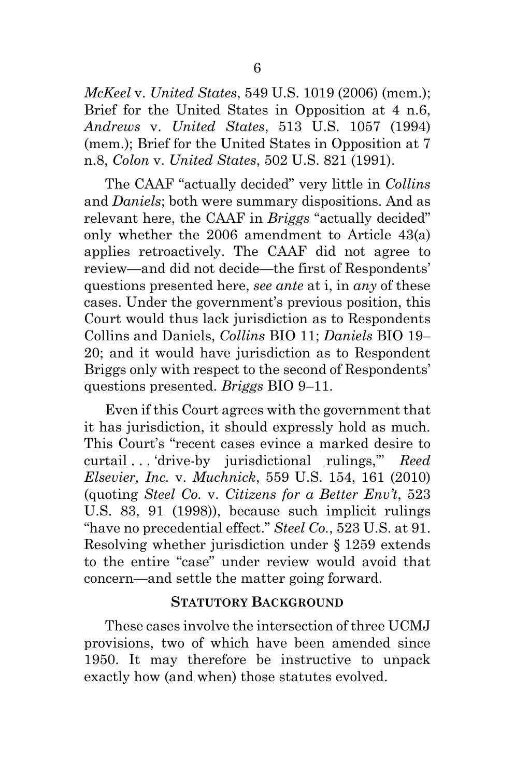*McKeel* v. *United States*, 549 U.S. 1019 (2006) (mem.); Brief for the United States in Opposition at 4 n.6, *Andrews* v. *United States*, 513 U.S. 1057 (1994) (mem.); Brief for the United States in Opposition at 7 n.8, *Colon* v. *United States*, 502 U.S. 821 (1991).

The CAAF "actually decided" very little in *Collins* and *Daniels*; both were summary dispositions. And as relevant here, the CAAF in *Briggs* "actually decided" only whether the 2006 amendment to Article 43(a) applies retroactively. The CAAF did not agree to review—and did not decide—the first of Respondents' questions presented here, *see ante* at i, in *any* of these cases. Under the government's previous position, this Court would thus lack jurisdiction as to Respondents Collins and Daniels, *Collins* BIO 11; *Daniels* BIO 19– 20; and it would have jurisdiction as to Respondent Briggs only with respect to the second of Respondents' questions presented. *Briggs* BIO 9–11.

Even if this Court agrees with the government that it has jurisdiction, it should expressly hold as much. This Court's "recent cases evince a marked desire to curtail . . . 'drive-by jurisdictional rulings,'" *Reed Elsevier, Inc.* v. *Muchnick*, 559 U.S. 154, 161 (2010) (quoting *Steel Co.* v. *Citizens for a Better Env't*, 523 U.S. 83, 91 (1998)), because such implicit rulings "have no precedential effect." *Steel Co.*, 523 U.S. at 91. Resolving whether jurisdiction under § 1259 extends to the entire "case" under review would avoid that concern—and settle the matter going forward.

#### **STATUTORY BACKGROUND**

<span id="page-21-0"></span>These cases involve the intersection of three UCMJ provisions, two of which have been amended since 1950. It may therefore be instructive to unpack exactly how (and when) those statutes evolved.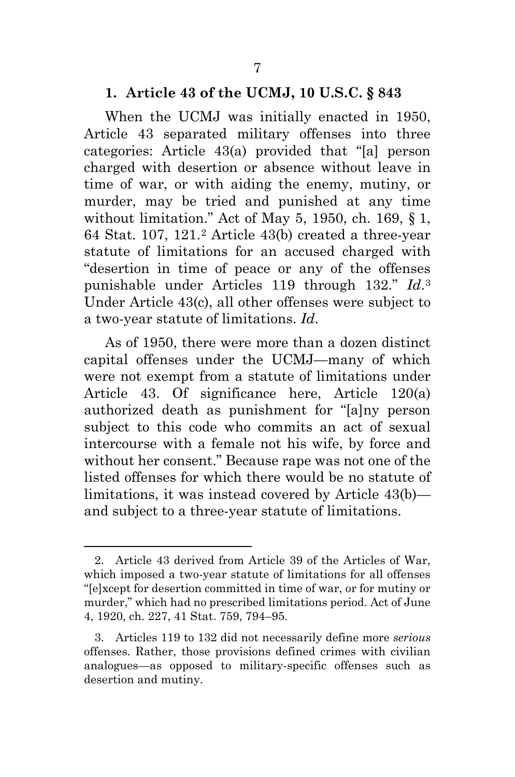#### <span id="page-22-0"></span>**1. Article 43 of the UCMJ, 10 U.S.C. § 843**

When the UCMJ was initially enacted in 1950, Article 43 separated military offenses into three categories: Article 43(a) provided that "[a] person charged with desertion or absence without leave in time of war, or with aiding the enemy, mutiny, or murder, may be tried and punished at any time without limitation." Act of May 5, 1950, ch. 169, § 1, 64 Stat. 107, 121.[2](#page-22-1) Article 43(b) created a three-year statute of limitations for an accused charged with "desertion in time of peace or any of the offenses punishable under Articles 119 through 132." *Id*.[3](#page-22-2) Under Article 43(c), all other offenses were subject to a two-year statute of limitations. *Id*.

As of 1950, there were more than a dozen distinct capital offenses under the UCMJ—many of which were not exempt from a statute of limitations under Article 43. Of significance here, Article 120(a) authorized death as punishment for "[a]ny person subject to this code who commits an act of sexual intercourse with a female not his wife, by force and without her consent." Because rape was not one of the listed offenses for which there would be no statute of limitations, it was instead covered by Article 43(b) and subject to a three-year statute of limitations.

<span id="page-22-1"></span><sup>2.</sup> Article 43 derived from Article 39 of the Articles of War, which imposed a two-year statute of limitations for all offenses "[e]xcept for desertion committed in time of war, or for mutiny or murder," which had no prescribed limitations period. Act of June 4, 1920, ch. 227, 41 Stat. 759, 794–95.

<span id="page-22-2"></span><sup>3.</sup> Articles 119 to 132 did not necessarily define more *serious* offenses. Rather, those provisions defined crimes with civilian analogues—as opposed to military-specific offenses such as desertion and mutiny.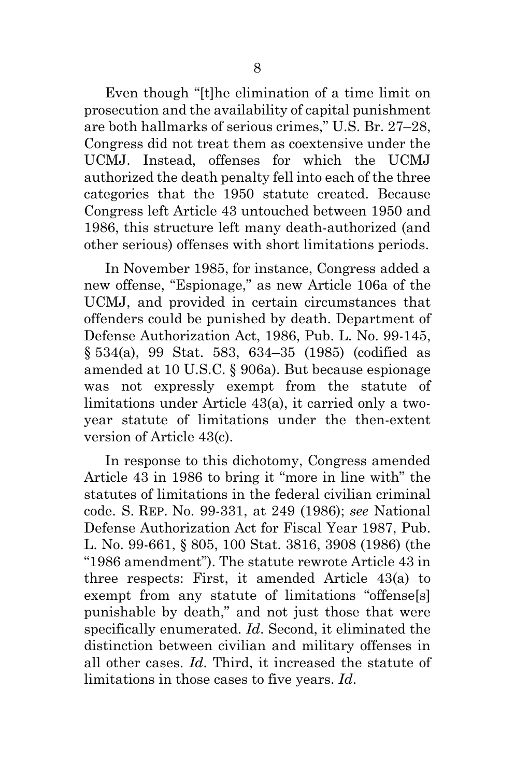Even though "[t]he elimination of a time limit on prosecution and the availability of capital punishment are both hallmarks of serious crimes," U.S. Br. 27–28, Congress did not treat them as coextensive under the UCMJ. Instead, offenses for which the UCMJ authorized the death penalty fell into each of the three categories that the 1950 statute created. Because Congress left Article 43 untouched between 1950 and 1986, this structure left many death-authorized (and other serious) offenses with short limitations periods.

In November 1985, for instance, Congress added a new offense, "Espionage," as new Article 106a of the UCMJ, and provided in certain circumstances that offenders could be punished by death. Department of Defense Authorization Act, 1986, Pub. L. No. 99-145, § 534(a), 99 Stat. 583, 634–35 (1985) (codified as amended at 10 U.S.C. § 906a). But because espionage was not expressly exempt from the statute of limitations under Article 43(a), it carried only a twoyear statute of limitations under the then-extent version of Article 43(c).

In response to this dichotomy, Congress amended Article 43 in 1986 to bring it "more in line with" the statutes of limitations in the federal civilian criminal code. S. REP. No. 99-331, at 249 (1986); *see* National Defense Authorization Act for Fiscal Year 1987, Pub. L. No. 99-661, § 805, 100 Stat. 3816, 3908 (1986) (the "1986 amendment"). The statute rewrote Article 43 in three respects: First, it amended Article 43(a) to exempt from any statute of limitations "offense[s] punishable by death," and not just those that were specifically enumerated. *Id*. Second, it eliminated the distinction between civilian and military offenses in all other cases. *Id*. Third, it increased the statute of limitations in those cases to five years. *Id*.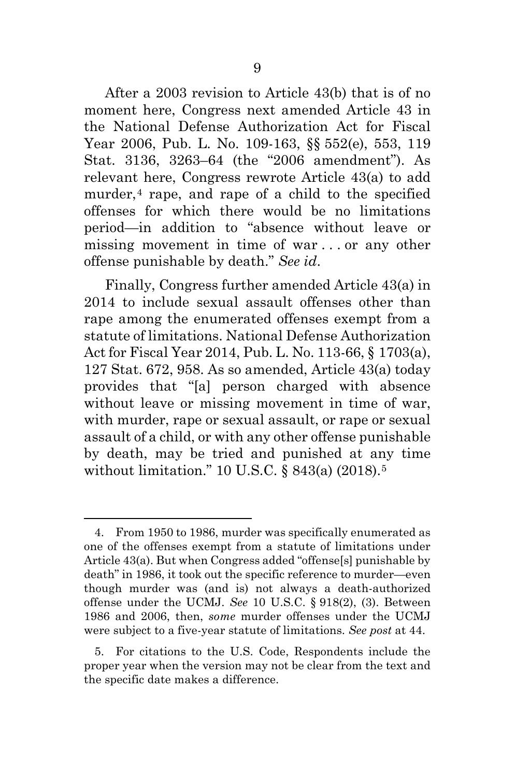After a 2003 revision to Article 43(b) that is of no moment here, Congress next amended Article 43 in the National Defense Authorization Act for Fiscal Year 2006, Pub. L. No. 109-163, §§ 552(e), 553, 119 Stat. 3136, 3263–64 (the "2006 amendment"). As relevant here, Congress rewrote Article 43(a) to add murder, $4$  rape, and rape of a child to the specified offenses for which there would be no limitations period—in addition to "absence without leave or missing movement in time of war . . . or any other offense punishable by death." *See id*.

Finally, Congress further amended Article 43(a) in 2014 to include sexual assault offenses other than rape among the enumerated offenses exempt from a statute of limitations. National Defense Authorization Act for Fiscal Year 2014, Pub. L. No. 113-66, § 1703(a), 127 Stat. 672, 958. As so amended, Article 43(a) today provides that "[a] person charged with absence without leave or missing movement in time of war, with murder, rape or sexual assault, or rape or sexual assault of a child, or with any other offense punishable by death, may be tried and punished at any time without limitation." 10 U.S.C. § 843(a) (2018).[5](#page-24-1)

<span id="page-24-0"></span><sup>4.</sup> From 1950 to 1986, murder was specifically enumerated as one of the offenses exempt from a statute of limitations under Article 43(a). But when Congress added "offense[s] punishable by death" in 1986, it took out the specific reference to murder—even though murder was (and is) not always a death-authorized offense under the UCMJ. *See* 10 U.S.C. § 918(2), (3). Between 1986 and 2006, then, *some* murder offenses under the UCMJ were subject to a five-year statute of limitations. *See post* at 44.

<span id="page-24-1"></span><sup>5.</sup> For citations to the U.S. Code, Respondents include the proper year when the version may not be clear from the text and the specific date makes a difference.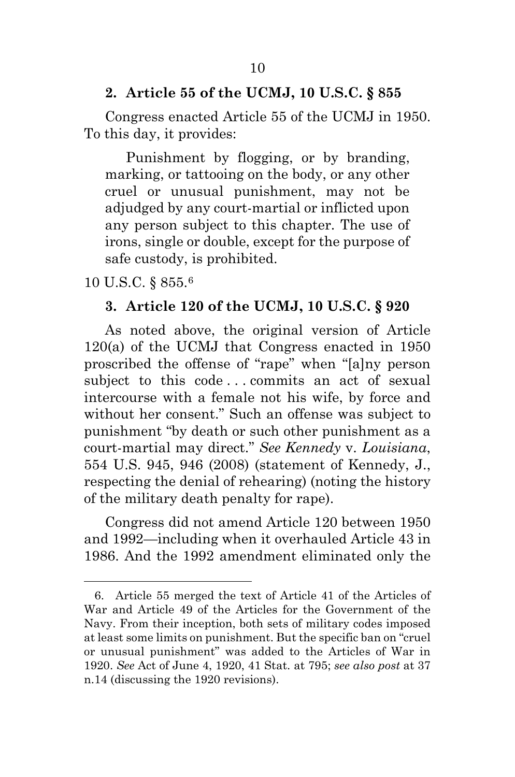## <span id="page-25-0"></span>**2. Article 55 of the UCMJ, 10 U.S.C. § 855**

Congress enacted Article 55 of the UCMJ in 1950. To this day, it provides:

Punishment by flogging, or by branding, marking, or tattooing on the body, or any other cruel or unusual punishment, may not be adjudged by any court-martial or inflicted upon any person subject to this chapter. The use of irons, single or double, except for the purpose of safe custody, is prohibited.

<span id="page-25-1"></span>10 U.S.C. § 855.[6](#page-25-2)

## **3. Article 120 of the UCMJ, 10 U.S.C. § 920**

As noted above, the original version of Article 120(a) of the UCMJ that Congress enacted in 1950 proscribed the offense of "rape" when "[a]ny person subject to this code ... commits an act of sexual intercourse with a female not his wife, by force and without her consent." Such an offense was subject to punishment "by death or such other punishment as a court-martial may direct." *See Kennedy* v. *Louisiana*, 554 U.S. 945, 946 (2008) (statement of Kennedy, J., respecting the denial of rehearing) (noting the history of the military death penalty for rape).

Congress did not amend Article 120 between 1950 and 1992—including when it overhauled Article 43 in 1986. And the 1992 amendment eliminated only the

<span id="page-25-2"></span><sup>6.</sup> Article 55 merged the text of Article 41 of the Articles of War and Article 49 of the Articles for the Government of the Navy. From their inception, both sets of military codes imposed at least some limits on punishment. But the specific ban on "cruel or unusual punishment" was added to the Articles of War in 1920. *See* Act of June 4, 1920, 41 Stat. at 795; *see also post* at 37 n.14 (discussing the 1920 revisions).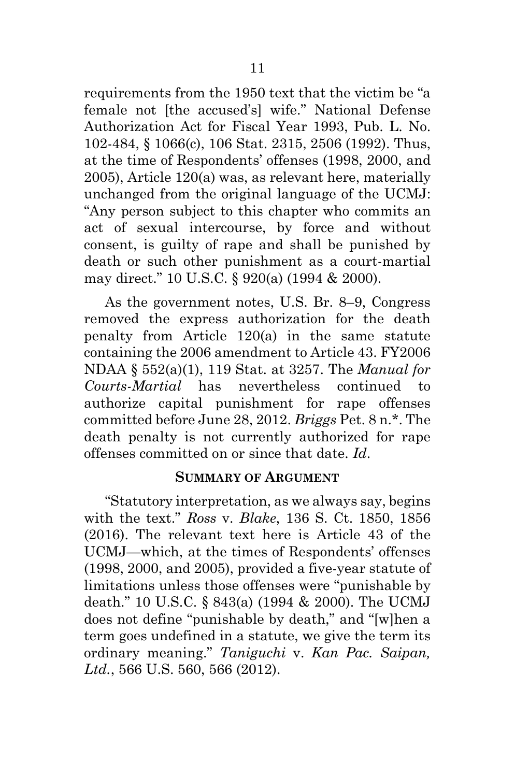requirements from the 1950 text that the victim be "a female not [the accused's] wife." National Defense Authorization Act for Fiscal Year 1993, Pub. L. No. 102-484, § 1066(c), 106 Stat. 2315, 2506 (1992). Thus, at the time of Respondents' offenses (1998, 2000, and 2005), Article 120(a) was, as relevant here, materially unchanged from the original language of the UCMJ: "Any person subject to this chapter who commits an act of sexual intercourse, by force and without consent, is guilty of rape and shall be punished by death or such other punishment as a court-martial may direct." 10 U.S.C. § 920(a) (1994 & 2000).

As the government notes, U.S. Br. 8–9, Congress removed the express authorization for the death penalty from Article 120(a) in the same statute containing the 2006 amendment to Article 43. FY2006 NDAA § 552(a)(1), 119 Stat. at 3257. The *Manual for Courts-Martial* has nevertheless continued to authorize capital punishment for rape offenses committed before June 28, 2012. *Briggs* Pet. 8 n.\*. The death penalty is not currently authorized for rape offenses committed on or since that date. *Id*.

#### **SUMMARY OF ARGUMENT**

<span id="page-26-0"></span>"Statutory interpretation, as we always say, begins with the text." *Ross* v. *Blake*, 136 S. Ct. 1850, 1856 (2016). The relevant text here is Article 43 of the UCMJ—which, at the times of Respondents' offenses (1998, 2000, and 2005), provided a five-year statute of limitations unless those offenses were "punishable by death." 10 U.S.C. § 843(a) (1994 & 2000). The UCMJ does not define "punishable by death," and "[w]hen a term goes undefined in a statute, we give the term its ordinary meaning." *Taniguchi* v. *Kan Pac. Saipan, Ltd.*, 566 U.S. 560, 566 (2012).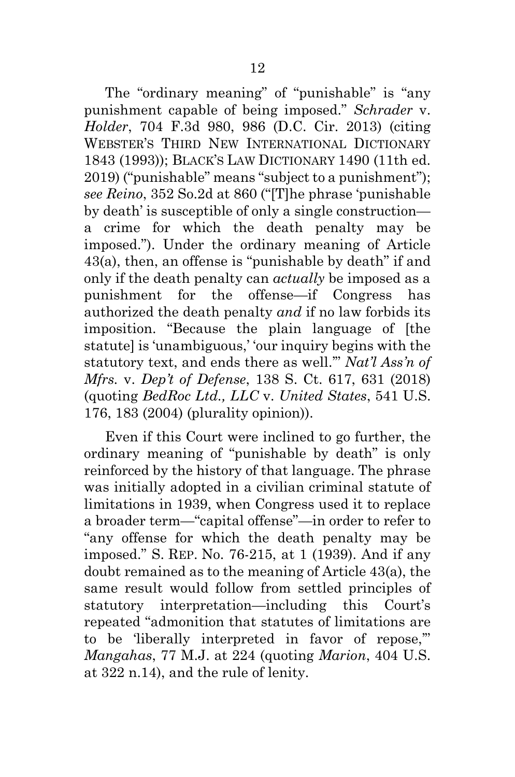The "ordinary meaning" of "punishable" is "any punishment capable of being imposed." *Schrader* v. *Holder*, 704 F.3d 980, 986 (D.C. Cir. 2013) (citing WEBSTER'S THIRD NEW INTERNATIONAL DICTIONARY 1843 (1993)); BLACK'S LAW DICTIONARY 1490 (11th ed. 2019) ("punishable" means "subject to a punishment"); *see Reino*, 352 So.2d at 860 ("[T]he phrase 'punishable by death' is susceptible of only a single construction a crime for which the death penalty may be imposed."). Under the ordinary meaning of Article 43(a), then, an offense is "punishable by death" if and only if the death penalty can *actually* be imposed as a punishment for the offense—if Congress has authorized the death penalty *and* if no law forbids its imposition. "Because the plain language of [the statute] is 'unambiguous,' 'our inquiry begins with the statutory text, and ends there as well.'" *Nat'l Ass'n of Mfrs.* v. *Dep't of Defense*, 138 S. Ct. 617, 631 (2018) (quoting *BedRoc Ltd., LLC* v. *United States*, 541 U.S. 176, 183 (2004) (plurality opinion)).

Even if this Court were inclined to go further, the ordinary meaning of "punishable by death" is only reinforced by the history of that language. The phrase was initially adopted in a civilian criminal statute of limitations in 1939, when Congress used it to replace a broader term—"capital offense"—in order to refer to "any offense for which the death penalty may be imposed." S. REP. No. 76-215, at 1 (1939). And if any doubt remained as to the meaning of Article 43(a), the same result would follow from settled principles of statutory interpretation—including this Court's repeated "admonition that statutes of limitations are to be 'liberally interpreted in favor of repose,'" *Mangahas*, 77 M.J. at 224 (quoting *Marion*, 404 U.S. at 322 n.14), and the rule of lenity.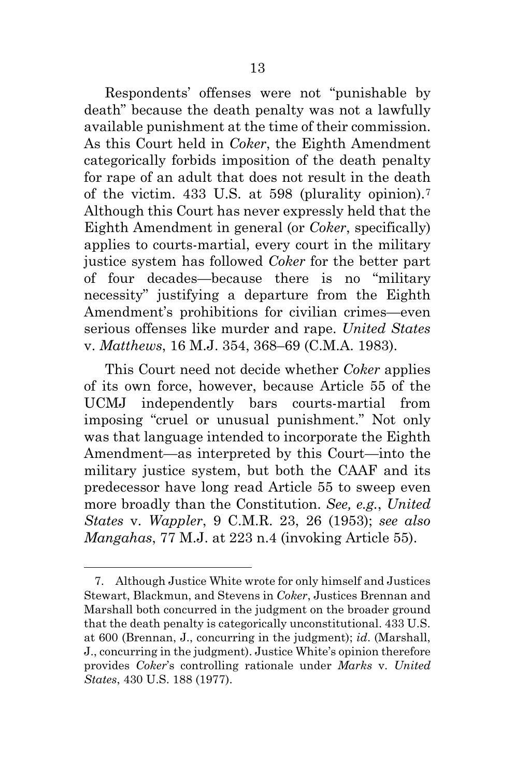Respondents' offenses were not "punishable by death" because the death penalty was not a lawfully available punishment at the time of their commission. As this Court held in *Coker*, the Eighth Amendment categorically forbids imposition of the death penalty for rape of an adult that does not result in the death of the victim. 433 U.S. at 598 (plurality opinion).[7](#page-28-0) Although this Court has never expressly held that the Eighth Amendment in general (or *Coker*, specifically) applies to courts-martial, every court in the military justice system has followed *Coker* for the better part of four decades—because there is no "military necessity" justifying a departure from the Eighth Amendment's prohibitions for civilian crimes—even serious offenses like murder and rape. *United States*  v. *Matthews*, 16 M.J. 354, 368–69 (C.M.A. 1983).

This Court need not decide whether *Coker* applies of its own force, however, because Article 55 of the UCMJ independently bars courts-martial from imposing "cruel or unusual punishment." Not only was that language intended to incorporate the Eighth Amendment—as interpreted by this Court—into the military justice system, but both the CAAF and its predecessor have long read Article 55 to sweep even more broadly than the Constitution. *See, e.g.*, *United States* v. *Wappler*, 9 C.M.R. 23, 26 (1953); *see also Mangahas*, 77 M.J. at 223 n.4 (invoking Article 55).

<span id="page-28-0"></span><sup>7.</sup> Although Justice White wrote for only himself and Justices Stewart, Blackmun, and Stevens in *Coker*, Justices Brennan and Marshall both concurred in the judgment on the broader ground that the death penalty is categorically unconstitutional. 433 U.S. at 600 (Brennan, J., concurring in the judgment); *id*. (Marshall, J., concurring in the judgment). Justice White's opinion therefore provides *Coker*'s controlling rationale under *Marks* v. *United States*, 430 U.S. 188 (1977).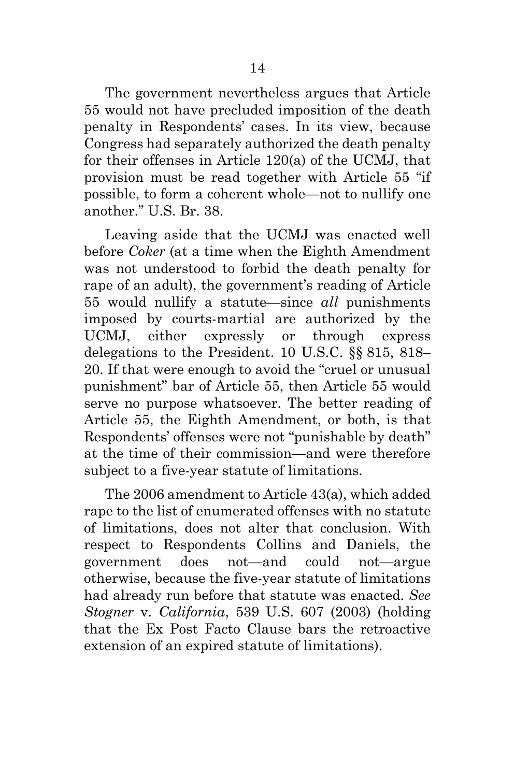The government nevertheless argues that Article 55 would not have precluded imposition of the death penalty in Respondents' cases. In its view, because Congress had separately authorized the death penalty for their offenses in Article 120(a) of the UCMJ, that provision must be read together with Article 55 "if possible, to form a coherent whole—not to nullify one another." U.S. Br. 38.

Leaving aside that the UCMJ was enacted well before *Coker* (at a time when the Eighth Amendment was not understood to forbid the death penalty for rape of an adult), the government's reading of Article 55 would nullify a statute—since *all* punishments imposed by courts-martial are authorized by the UCMJ, either expressly or through express delegations to the President. 10 U.S.C. §§ 815, 818– 20. If that were enough to avoid the "cruel or unusual punishment" bar of Article 55, then Article 55 would serve no purpose whatsoever. The better reading of Article 55, the Eighth Amendment, or both, is that Respondents' offenses were not "punishable by death" at the time of their commission—and were therefore subject to a five-year statute of limitations.

The 2006 amendment to Article 43(a), which added rape to the list of enumerated offenses with no statute of limitations, does not alter that conclusion. With respect to Respondents Collins and Daniels, the government does not—and could not—argue otherwise, because the five-year statute of limitations had already run before that statute was enacted. *See Stogner* v. *California*, 539 U.S. 607 (2003) (holding that the Ex Post Facto Clause bars the retroactive extension of an expired statute of limitations).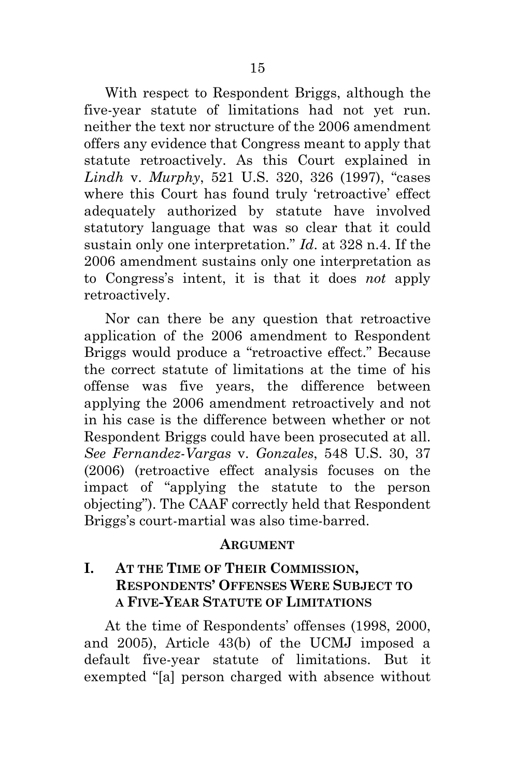With respect to Respondent Briggs, although the five-year statute of limitations had not yet run. neither the text nor structure of the 2006 amendment offers any evidence that Congress meant to apply that statute retroactively. As this Court explained in *Lindh* v. *Murphy*, 521 U.S. 320, 326 (1997), "cases where this Court has found truly 'retroactive' effect adequately authorized by statute have involved statutory language that was so clear that it could sustain only one interpretation." *Id*. at 328 n.4. If the 2006 amendment sustains only one interpretation as to Congress's intent, it is that it does *not* apply retroactively.

Nor can there be any question that retroactive application of the 2006 amendment to Respondent Briggs would produce a "retroactive effect." Because the correct statute of limitations at the time of his offense was five years, the difference between applying the 2006 amendment retroactively and not in his case is the difference between whether or not Respondent Briggs could have been prosecuted at all. *See Fernandez-Vargas* v. *Gonzales*, 548 U.S. 30, 37 (2006) (retroactive effect analysis focuses on the impact of "applying the statute to the person objecting"). The CAAF correctly held that Respondent Briggs's court-martial was also time-barred.

#### **ARGUMENT**

## <span id="page-30-1"></span><span id="page-30-0"></span>**I. AT THE TIME OF THEIR COMMISSION, RESPONDENTS' OFFENSES WERE SUBJECT TO A FIVE-YEAR STATUTE OF LIMITATIONS**

At the time of Respondents' offenses (1998, 2000, and 2005), Article 43(b) of the UCMJ imposed a default five-year statute of limitations. But it exempted "[a] person charged with absence without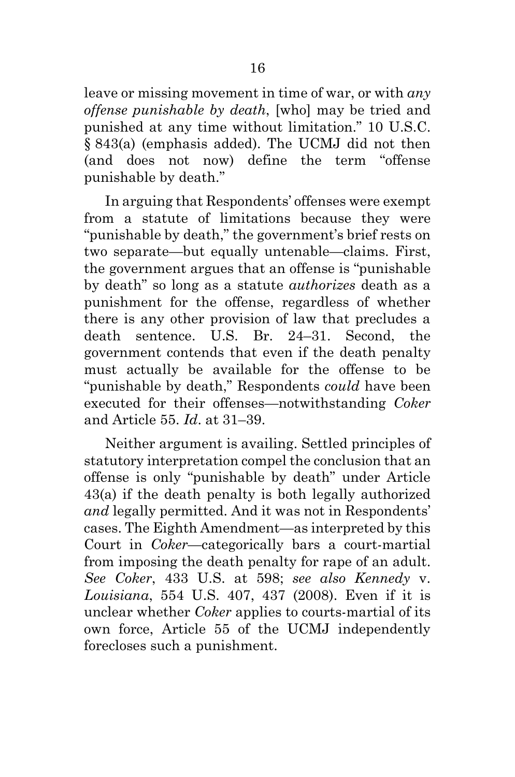leave or missing movement in time of war, or with *any offense punishable by death*, [who] may be tried and punished at any time without limitation." 10 U.S.C. § 843(a) (emphasis added). The UCMJ did not then (and does not now) define the term "offense punishable by death."

In arguing that Respondents' offenses were exempt from a statute of limitations because they were "punishable by death," the government's brief rests on two separate—but equally untenable—claims. First, the government argues that an offense is "punishable by death" so long as a statute *authorizes* death as a punishment for the offense, regardless of whether there is any other provision of law that precludes a death sentence. U.S. Br. 24–31. Second, the government contends that even if the death penalty must actually be available for the offense to be "punishable by death," Respondents *could* have been executed for their offenses—notwithstanding *Coker* and Article 55. *Id*. at 31–39.

Neither argument is availing. Settled principles of statutory interpretation compel the conclusion that an offense is only "punishable by death" under Article 43(a) if the death penalty is both legally authorized *and* legally permitted. And it was not in Respondents' cases. The Eighth Amendment—as interpreted by this Court in *Coker*—categorically bars a court-martial from imposing the death penalty for rape of an adult. *See Coker*, 433 U.S. at 598; *see also Kennedy* v. *Louisiana*, 554 U.S. 407, 437 (2008). Even if it is unclear whether *Coker* applies to courts-martial of its own force, Article 55 of the UCMJ independently forecloses such a punishment.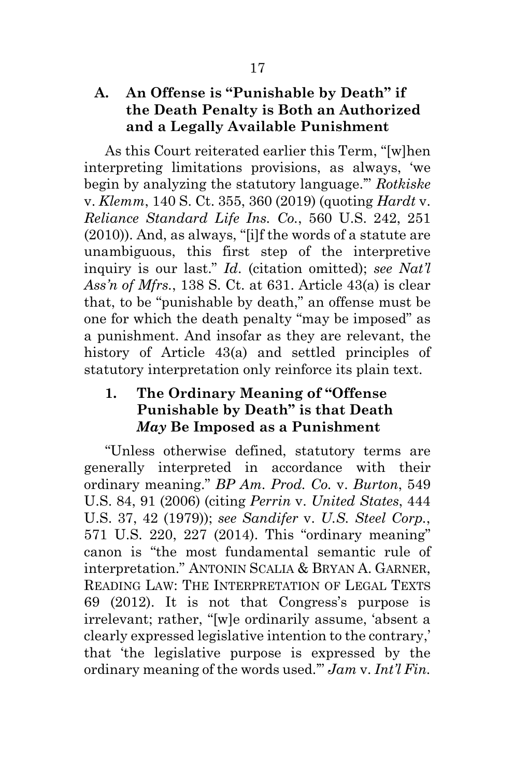## <span id="page-32-0"></span>**A. An Offense is "Punishable by Death" if the Death Penalty is Both an Authorized and a Legally Available Punishment**

As this Court reiterated earlier this Term, "[w]hen interpreting limitations provisions, as always, 'we begin by analyzing the statutory language.'" *Rotkiske*  v. *Klemm*, 140 S. Ct. 355, 360 (2019) (quoting *Hardt* v. *Reliance Standard Life Ins. Co.*, 560 U.S. 242, 251 (2010)). And, as always, "[i]f the words of a statute are unambiguous, this first step of the interpretive inquiry is our last." *Id*. (citation omitted); *see Nat'l Ass'n of Mfrs.*, 138 S. Ct. at 631. Article 43(a) is clear that, to be "punishable by death," an offense must be one for which the death penalty "may be imposed" as a punishment. And insofar as they are relevant, the history of Article 43(a) and settled principles of statutory interpretation only reinforce its plain text.

# <span id="page-32-1"></span>**1. The Ordinary Meaning of "Offense Punishable by Death" is that Death**  *May* **Be Imposed as a Punishment**

"Unless otherwise defined, statutory terms are generally interpreted in accordance with their ordinary meaning." *BP Am. Prod. Co.* v. *Burton*, 549 U.S. 84, 91 (2006) (citing *Perrin* v. *United States*, 444 U.S. 37, 42 (1979)); *see Sandifer* v. *U.S. Steel Corp.*, 571 U.S. 220, 227 (2014). This "ordinary meaning" canon is "the most fundamental semantic rule of interpretation." ANTONIN SCALIA & BRYAN A. GARNER, READING LAW: THE INTERPRETATION OF LEGAL TEXTS 69 (2012). It is not that Congress's purpose is irrelevant; rather, "[w]e ordinarily assume, 'absent a clearly expressed legislative intention to the contrary,' that 'the legislative purpose is expressed by the ordinary meaning of the words used.'" *Jam* v. *Int'l Fin.*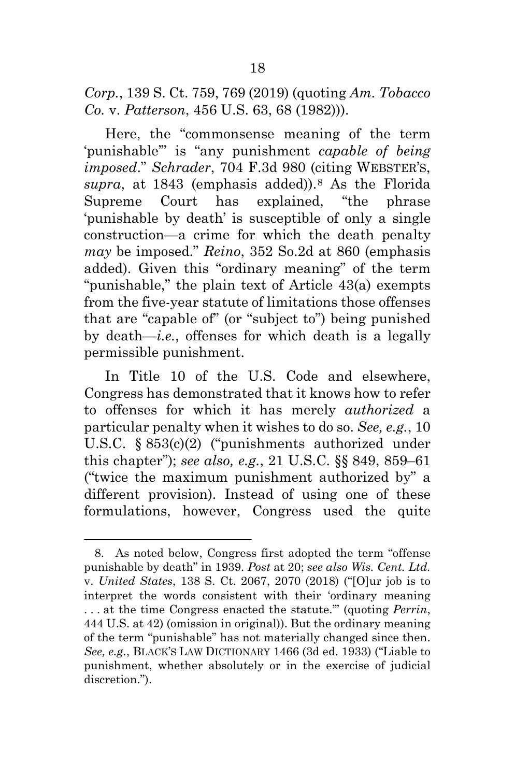*Corp.*, 139 S. Ct. 759, 769 (2019) (quoting *Am. Tobacco Co.* v. *Patterson*, 456 U.S. 63, 68 (1982))).

Here, the "commonsense meaning of the term 'punishable'" is "any punishment *capable of being imposed*." *Schrader*, 704 F.3d 980 (citing WEBSTER'S, *supra*, at 1843 (emphasis added)).[8](#page-33-0) As the Florida Supreme Court has explained, "the phrase 'punishable by death' is susceptible of only a single construction—a crime for which the death penalty *may* be imposed." *Reino*, 352 So.2d at 860 (emphasis added). Given this "ordinary meaning" of the term "punishable," the plain text of Article 43(a) exempts from the five-year statute of limitations those offenses that are "capable of" (or "subject to") being punished by death—*i.e.*, offenses for which death is a legally permissible punishment.

In Title 10 of the U.S. Code and elsewhere, Congress has demonstrated that it knows how to refer to offenses for which it has merely *authorized* a particular penalty when it wishes to do so. *See, e.g.*, 10 U.S.C. § 853(c)(2) ("punishments authorized under this chapter"); *see also, e.g.*, 21 U.S.C. §§ 849, 859–61 ("twice the maximum punishment authorized by" a different provision). Instead of using one of these formulations, however, Congress used the quite

<span id="page-33-0"></span><sup>8.</sup> As noted below, Congress first adopted the term "offense punishable by death" in 1939. *Post* at 20; *see also Wis. Cent. Ltd.*  v. *United States*, 138 S. Ct. 2067, 2070 (2018) ("[O]ur job is to interpret the words consistent with their 'ordinary meaning . . . at the time Congress enacted the statute.'" (quoting *Perrin*, 444 U.S. at 42) (omission in original)). But the ordinary meaning of the term "punishable" has not materially changed since then. *See, e.g.*, BLACK'S LAW DICTIONARY 1466 (3d ed. 1933) ("Liable to punishment, whether absolutely or in the exercise of judicial discretion.").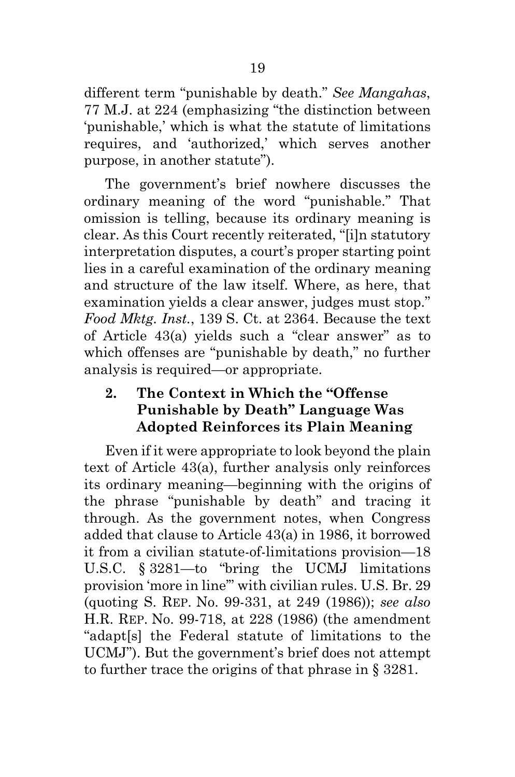different term "punishable by death." *See Mangahas*, 77 M.J. at 224 (emphasizing "the distinction between 'punishable,' which is what the statute of limitations requires, and 'authorized,' which serves another purpose, in another statute").

The government's brief nowhere discusses the ordinary meaning of the word "punishable." That omission is telling, because its ordinary meaning is clear. As this Court recently reiterated, "[i]n statutory interpretation disputes, a court's proper starting point lies in a careful examination of the ordinary meaning and structure of the law itself. Where, as here, that examination yields a clear answer, judges must stop." *Food Mktg. Inst.*, 139 S. Ct. at 2364. Because the text of Article 43(a) yields such a "clear answer" as to which offenses are "punishable by death," no further analysis is required—or appropriate.

# <span id="page-34-0"></span>**2. The Context in Which the "Offense Punishable by Death" Language Was Adopted Reinforces its Plain Meaning**

Even if it were appropriate to look beyond the plain text of Article 43(a), further analysis only reinforces its ordinary meaning—beginning with the origins of the phrase "punishable by death" and tracing it through. As the government notes, when Congress added that clause to Article 43(a) in 1986, it borrowed it from a civilian statute-of-limitations provision—18 U.S.C. § 3281—to "bring the UCMJ limitations provision 'more in line'" with civilian rules. U.S. Br. 29 (quoting S. REP. No. 99-331, at 249 (1986)); *see also*  H.R. REP. No. 99-718, at 228 (1986) (the amendment "adapt[s] the Federal statute of limitations to the UCMJ"). But the government's brief does not attempt to further trace the origins of that phrase in § 3281.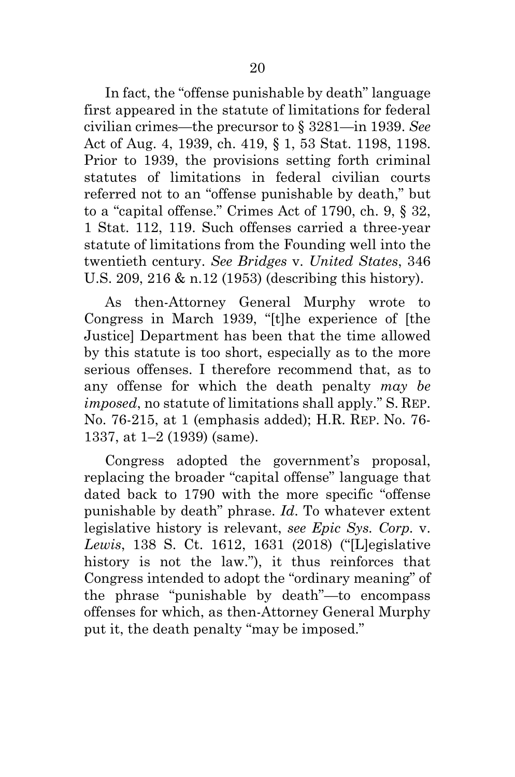In fact, the "offense punishable by death" language first appeared in the statute of limitations for federal civilian crimes—the precursor to § 3281—in 1939. *See*  Act of Aug. 4, 1939, ch. 419, § 1, 53 Stat. 1198, 1198. Prior to 1939, the provisions setting forth criminal statutes of limitations in federal civilian courts referred not to an "offense punishable by death," but to a "capital offense." Crimes Act of 1790, ch. 9, § 32, 1 Stat. 112, 119. Such offenses carried a three-year statute of limitations from the Founding well into the twentieth century. *See Bridges* v. *United States*, 346 U.S. 209, 216 & n.12 (1953) (describing this history).

As then-Attorney General Murphy wrote to Congress in March 1939, "[t]he experience of [the Justice] Department has been that the time allowed by this statute is too short, especially as to the more serious offenses. I therefore recommend that, as to any offense for which the death penalty *may be imposed*, no statute of limitations shall apply." S. REP. No. 76-215, at 1 (emphasis added); H.R. REP. No. 76- 1337, at 1–2 (1939) (same).

Congress adopted the government's proposal, replacing the broader "capital offense" language that dated back to 1790 with the more specific "offense punishable by death" phrase. *Id*. To whatever extent legislative history is relevant, *see Epic Sys. Corp.* v. *Lewis*, 138 S. Ct. 1612, 1631 (2018) ("[L]egislative history is not the law."), it thus reinforces that Congress intended to adopt the "ordinary meaning" of the phrase "punishable by death"—to encompass offenses for which, as then-Attorney General Murphy put it, the death penalty "may be imposed."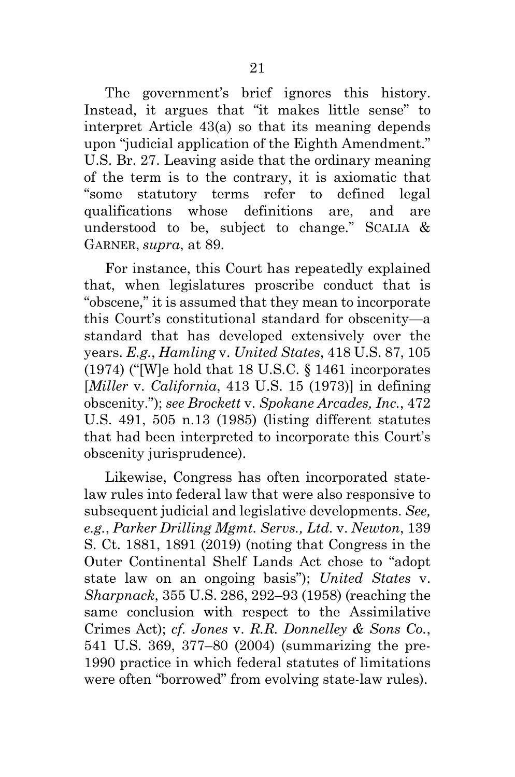The government's brief ignores this history. Instead, it argues that "it makes little sense" to interpret Article 43(a) so that its meaning depends upon "judicial application of the Eighth Amendment." U.S. Br. 27. Leaving aside that the ordinary meaning of the term is to the contrary, it is axiomatic that "some statutory terms refer to defined legal qualifications whose definitions are, and are understood to be, subject to change." SCALIA & GARNER, *supra*, at 89.

For instance, this Court has repeatedly explained that, when legislatures proscribe conduct that is "obscene," it is assumed that they mean to incorporate this Court's constitutional standard for obscenity—a standard that has developed extensively over the years. *E.g.*, *Hamling* v. *United States*, 418 U.S. 87, 105 (1974) ("[W]e hold that 18 U.S.C. § 1461 incorporates [*Miller* v. *California*, 413 U.S. 15 (1973)] in defining obscenity."); *see Brockett* v. *Spokane Arcades, Inc.*, 472 U.S. 491, 505 n.13 (1985) (listing different statutes that had been interpreted to incorporate this Court's obscenity jurisprudence).

Likewise, Congress has often incorporated statelaw rules into federal law that were also responsive to subsequent judicial and legislative developments. *See, e.g.*, *Parker Drilling Mgmt. Servs., Ltd.* v. *Newton*, 139 S. Ct. 1881, 1891 (2019) (noting that Congress in the Outer Continental Shelf Lands Act chose to "adopt state law on an ongoing basis"); *United States* v. *Sharpnack*, 355 U.S. 286, 292–93 (1958) (reaching the same conclusion with respect to the Assimilative Crimes Act); *cf. Jones* v. *R.R. Donnelley & Sons Co.*, 541 U.S. 369, 377–80 (2004) (summarizing the pre-1990 practice in which federal statutes of limitations were often "borrowed" from evolving state-law rules).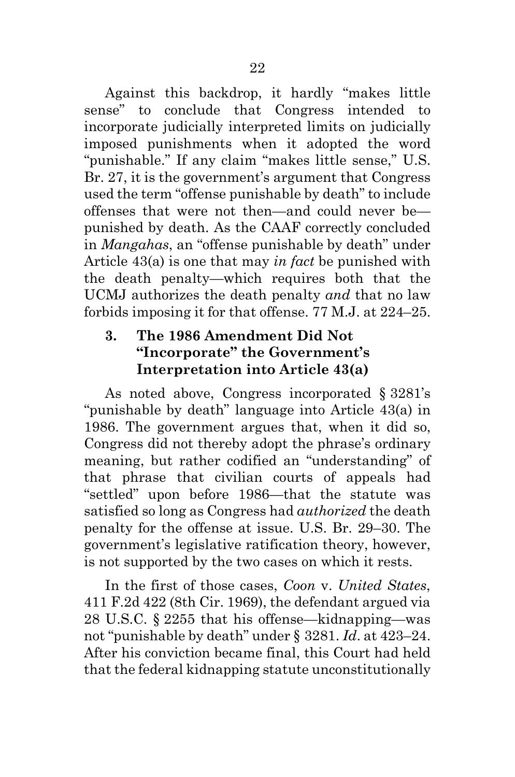Against this backdrop, it hardly "makes little sense" to conclude that Congress intended to incorporate judicially interpreted limits on judicially imposed punishments when it adopted the word "punishable." If any claim "makes little sense," U.S. Br. 27, it is the government's argument that Congress used the term "offense punishable by death" to include offenses that were not then—and could never be punished by death. As the CAAF correctly concluded in *Mangahas*, an "offense punishable by death" under Article 43(a) is one that may *in fact* be punished with the death penalty—which requires both that the UCMJ authorizes the death penalty *and* that no law forbids imposing it for that offense. 77 M.J. at 224–25.

## <span id="page-37-0"></span>**3. The 1986 Amendment Did Not "Incorporate" the Government's Interpretation into Article 43(a)**

As noted above, Congress incorporated § 3281's "punishable by death" language into Article 43(a) in 1986. The government argues that, when it did so, Congress did not thereby adopt the phrase's ordinary meaning, but rather codified an "understanding" of that phrase that civilian courts of appeals had "settled" upon before 1986—that the statute was satisfied so long as Congress had *authorized* the death penalty for the offense at issue. U.S. Br. 29–30. The government's legislative ratification theory, however, is not supported by the two cases on which it rests.

In the first of those cases, *Coon* v. *United States*, 411 F.2d 422 (8th Cir. 1969), the defendant argued via 28 U.S.C. § 2255 that his offense—kidnapping—was not "punishable by death" under § 3281. *Id*. at 423–24. After his conviction became final, this Court had held that the federal kidnapping statute unconstitutionally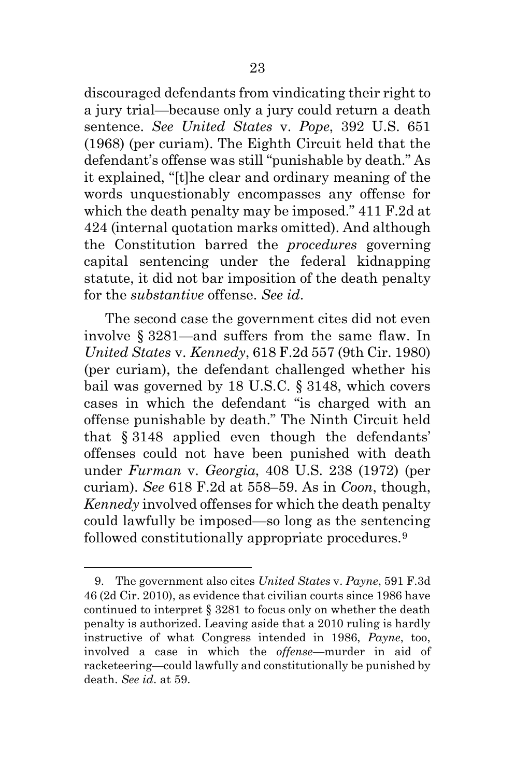discouraged defendants from vindicating their right to a jury trial—because only a jury could return a death sentence. *See United States* v. *Pope*, 392 U.S. 651 (1968) (per curiam). The Eighth Circuit held that the defendant's offense was still "punishable by death." As it explained, "[t]he clear and ordinary meaning of the words unquestionably encompasses any offense for which the death penalty may be imposed." 411 F.2d at 424 (internal quotation marks omitted). And although the Constitution barred the *procedures* governing capital sentencing under the federal kidnapping statute, it did not bar imposition of the death penalty for the *substantive* offense. *See id*.

The second case the government cites did not even involve § 3281—and suffers from the same flaw. In *United States* v. *Kennedy*, 618 F.2d 557 (9th Cir. 1980) (per curiam), the defendant challenged whether his bail was governed by 18 U.S.C. § 3148, which covers cases in which the defendant "is charged with an offense punishable by death." The Ninth Circuit held that § 3148 applied even though the defendants' offenses could not have been punished with death under *Furman* v. *Georgia*, 408 U.S. 238 (1972) (per curiam). *See* 618 F.2d at 558–59. As in *Coon*, though, *Kennedy* involved offenses for which the death penalty could lawfully be imposed—so long as the sentencing followed constitutionally appropriate procedures.<sup>[9](#page-38-0)</sup>

<span id="page-38-0"></span><sup>9.</sup> The government also cites *United States* v. *Payne*, 591 F.3d 46 (2d Cir. 2010), as evidence that civilian courts since 1986 have continued to interpret § 3281 to focus only on whether the death penalty is authorized. Leaving aside that a 2010 ruling is hardly instructive of what Congress intended in 1986, *Payne*, too, involved a case in which the *offense*—murder in aid of racketeering—could lawfully and constitutionally be punished by death. *See id*. at 59.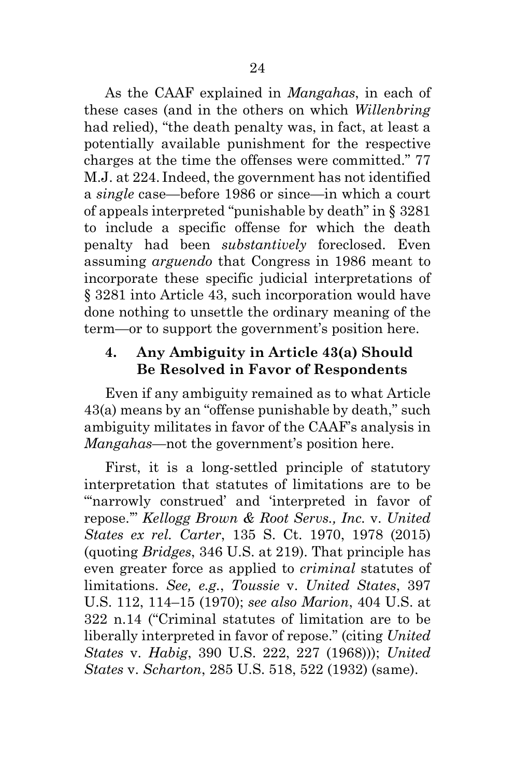As the CAAF explained in *Mangahas*, in each of these cases (and in the others on which *Willenbring* had relied), "the death penalty was, in fact, at least a potentially available punishment for the respective charges at the time the offenses were committed." 77 M.J. at 224. Indeed, the government has not identified a *single* case—before 1986 or since—in which a court of appeals interpreted "punishable by death" in § 3281 to include a specific offense for which the death penalty had been *substantively* foreclosed. Even assuming *arguendo* that Congress in 1986 meant to incorporate these specific judicial interpretations of § 3281 into Article 43, such incorporation would have done nothing to unsettle the ordinary meaning of the term—or to support the government's position here.

### <span id="page-39-0"></span>**4. Any Ambiguity in Article 43(a) Should Be Resolved in Favor of Respondents**

Even if any ambiguity remained as to what Article 43(a) means by an "offense punishable by death," such ambiguity militates in favor of the CAAF's analysis in *Mangahas*—not the government's position here.

First, it is a long-settled principle of statutory interpretation that statutes of limitations are to be "narrowly construed' and 'interpreted in favor of repose.'" *Kellogg Brown & Root Servs., Inc.* v. *United States ex rel. Carter*, 135 S. Ct. 1970, 1978 (2015) (quoting *Bridges*, 346 U.S. at 219). That principle has even greater force as applied to *criminal* statutes of limitations. *See, e.g.*, *Toussie* v. *United States*, 397 U.S. 112, 114–15 (1970); *see also Marion*, 404 U.S. at 322 n.14 ("Criminal statutes of limitation are to be liberally interpreted in favor of repose." (citing *United States* v. *Habig*, 390 U.S. 222, 227 (1968))); *United States* v. *Scharton*, 285 U.S. 518, 522 (1932) (same).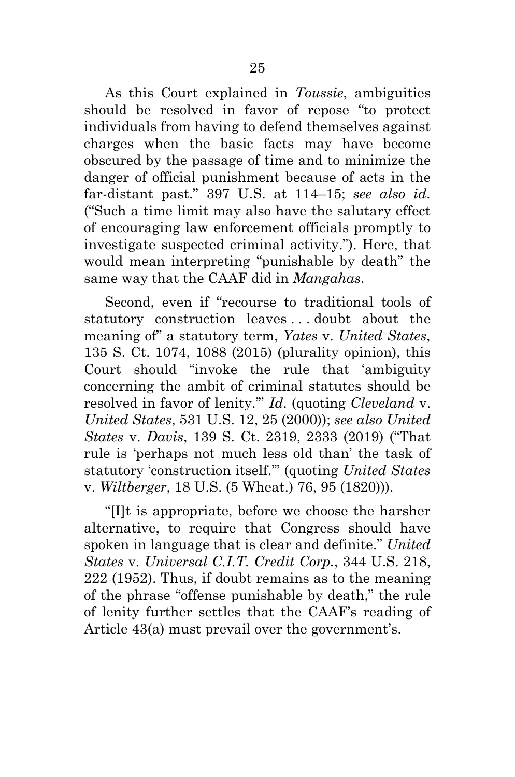As this Court explained in *Toussie*, ambiguities should be resolved in favor of repose "to protect individuals from having to defend themselves against charges when the basic facts may have become obscured by the passage of time and to minimize the danger of official punishment because of acts in the far-distant past." 397 U.S. at 114–15; *see also id*. ("Such a time limit may also have the salutary effect of encouraging law enforcement officials promptly to investigate suspected criminal activity."). Here, that would mean interpreting "punishable by death" the same way that the CAAF did in *Mangahas*.

Second, even if "recourse to traditional tools of statutory construction leaves . . . doubt about the meaning of" a statutory term, *Yates* v. *United States*, 135 S. Ct. 1074, 1088 (2015) (plurality opinion), this Court should "invoke the rule that 'ambiguity concerning the ambit of criminal statutes should be resolved in favor of lenity.'" *Id*. (quoting *Cleveland* v. *United States*, 531 U.S. 12, 25 (2000)); *see also United States* v. *Davis*, 139 S. Ct. 2319, 2333 (2019) ("That rule is 'perhaps not much less old than' the task of statutory 'construction itself.'" (quoting *United States* v. *Wiltberger*, 18 U.S. (5 Wheat.) 76, 95 (1820))).

"[I]t is appropriate, before we choose the harsher alternative, to require that Congress should have spoken in language that is clear and definite." *United States* v. *Universal C.I.T. Credit Corp.*, 344 U.S. 218, 222 (1952). Thus, if doubt remains as to the meaning of the phrase "offense punishable by death," the rule of lenity further settles that the CAAF's reading of Article 43(a) must prevail over the government's.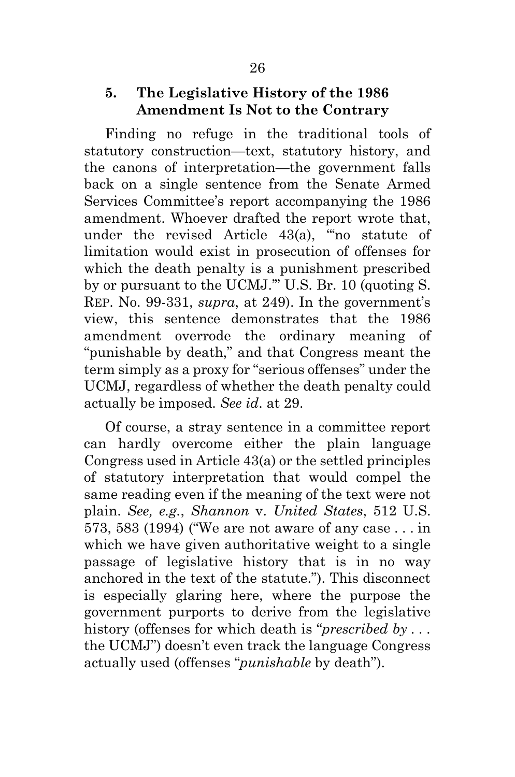### <span id="page-41-0"></span>**5. The Legislative History of the 1986 Amendment Is Not to the Contrary**

Finding no refuge in the traditional tools of statutory construction—text, statutory history, and the canons of interpretation—the government falls back on a single sentence from the Senate Armed Services Committee's report accompanying the 1986 amendment. Whoever drafted the report wrote that, under the revised Article 43(a), "'no statute of limitation would exist in prosecution of offenses for which the death penalty is a punishment prescribed by or pursuant to the UCMJ.'" U.S. Br. 10 (quoting S. REP. No. 99-331, *supra*, at 249). In the government's view, this sentence demonstrates that the 1986 amendment overrode the ordinary meaning of "punishable by death," and that Congress meant the term simply as a proxy for "serious offenses" under the UCMJ, regardless of whether the death penalty could actually be imposed. *See id*. at 29.

Of course, a stray sentence in a committee report can hardly overcome either the plain language Congress used in Article 43(a) or the settled principles of statutory interpretation that would compel the same reading even if the meaning of the text were not plain. *See, e.g.*, *Shannon* v. *United States*, 512 U.S. 573, 583 (1994) ("We are not aware of any case . . . in which we have given authoritative weight to a single passage of legislative history that is in no way anchored in the text of the statute."). This disconnect is especially glaring here, where the purpose the government purports to derive from the legislative history (offenses for which death is "*prescribed by . . .*  the UCMJ") doesn't even track the language Congress actually used (offenses "*punishable* by death").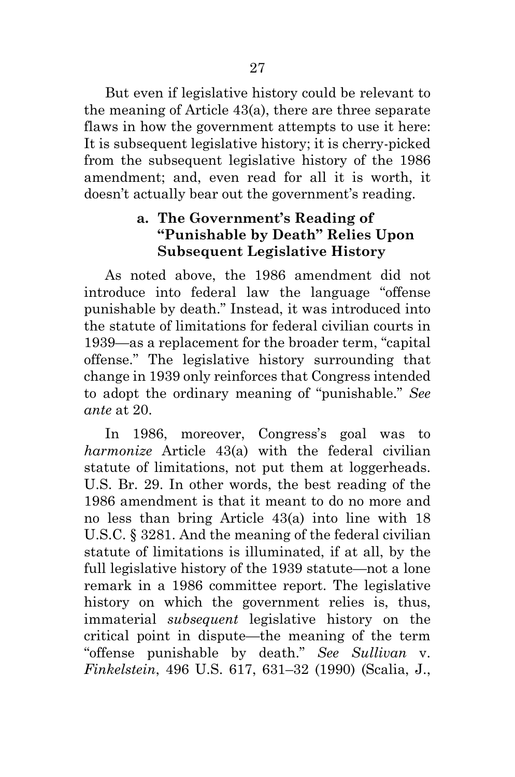But even if legislative history could be relevant to the meaning of Article 43(a), there are three separate flaws in how the government attempts to use it here: It is subsequent legislative history; it is cherry-picked from the subsequent legislative history of the 1986 amendment; and, even read for all it is worth, it doesn't actually bear out the government's reading.

## **a. The Government's Reading of "Punishable by Death" Relies Upon Subsequent Legislative History**

As noted above, the 1986 amendment did not introduce into federal law the language "offense punishable by death." Instead, it was introduced into the statute of limitations for federal civilian courts in 1939—as a replacement for the broader term, "capital offense." The legislative history surrounding that change in 1939 only reinforces that Congress intended to adopt the ordinary meaning of "punishable." *See ante* at 20.

In 1986, moreover, Congress's goal was to *harmonize* Article 43(a) with the federal civilian statute of limitations, not put them at loggerheads. U.S. Br. 29. In other words, the best reading of the 1986 amendment is that it meant to do no more and no less than bring Article 43(a) into line with 18 U.S.C. § 3281. And the meaning of the federal civilian statute of limitations is illuminated, if at all, by the full legislative history of the 1939 statute—not a lone remark in a 1986 committee report. The legislative history on which the government relies is, thus, immaterial *subsequent* legislative history on the critical point in dispute—the meaning of the term "offense punishable by death." *See Sullivan* v. *Finkelstein*, 496 U.S. 617, 631–32 (1990) (Scalia, J.,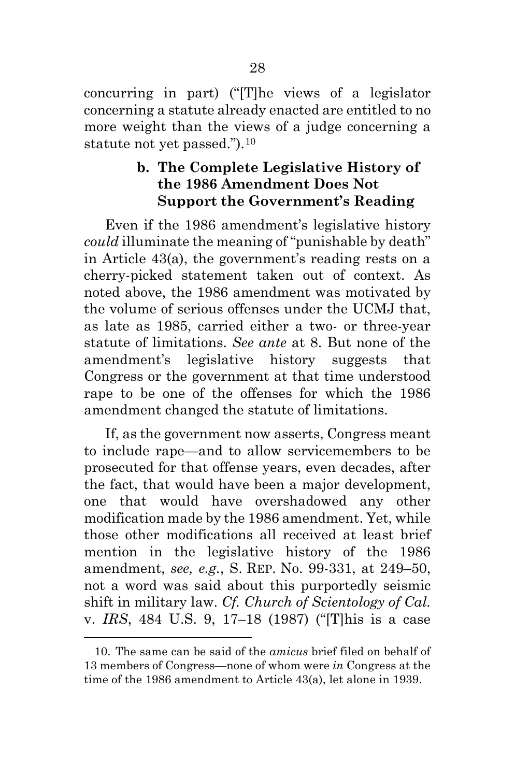concurring in part) ("[T]he views of a legislator concerning a statute already enacted are entitled to no more weight than the views of a judge concerning a statute not yet passed.").[10](#page-43-0)

## **b. The Complete Legislative History of the 1986 Amendment Does Not Support the Government's Reading**

Even if the 1986 amendment's legislative history *could* illuminate the meaning of "punishable by death" in Article 43(a), the government's reading rests on a cherry-picked statement taken out of context. As noted above, the 1986 amendment was motivated by the volume of serious offenses under the UCMJ that, as late as 1985, carried either a two- or three-year statute of limitations. *See ante* at 8. But none of the amendment's legislative history suggests that Congress or the government at that time understood rape to be one of the offenses for which the 1986 amendment changed the statute of limitations.

If, as the government now asserts, Congress meant to include rape—and to allow servicemembers to be prosecuted for that offense years, even decades, after the fact, that would have been a major development, one that would have overshadowed any other modification made by the 1986 amendment. Yet, while those other modifications all received at least brief mention in the legislative history of the 1986 amendment, *see, e.g.*, S. REP. No. 99-331, at 249–50, not a word was said about this purportedly seismic shift in military law. *Cf. Church of Scientology of Cal.* v. *IRS*, 484 U.S. 9, 17–18 (1987) ("[T]his is a case

<span id="page-43-0"></span><sup>10.</sup> The same can be said of the *amicus* brief filed on behalf of 13 members of Congress—none of whom were *in* Congress at the time of the 1986 amendment to Article 43(a), let alone in 1939.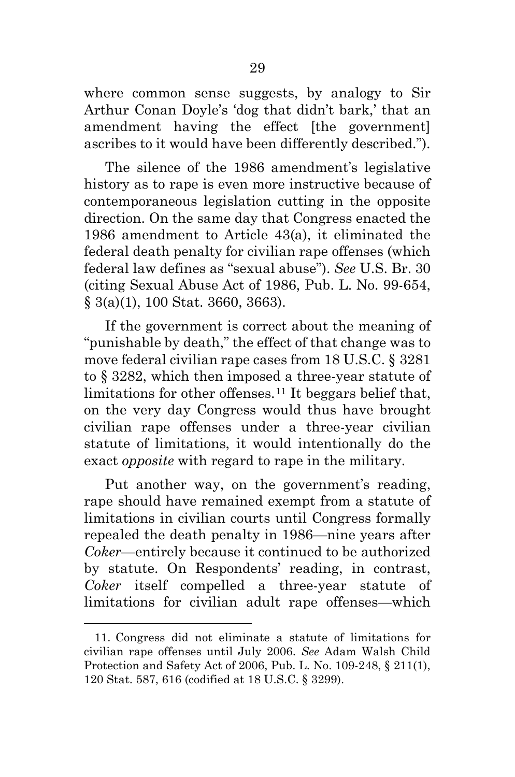where common sense suggests, by analogy to Sir Arthur Conan Doyle's 'dog that didn't bark,' that an amendment having the effect [the government] ascribes to it would have been differently described.").

The silence of the 1986 amendment's legislative history as to rape is even more instructive because of contemporaneous legislation cutting in the opposite direction. On the same day that Congress enacted the 1986 amendment to Article 43(a), it eliminated the federal death penalty for civilian rape offenses (which federal law defines as "sexual abuse"). *See* U.S. Br. 30 (citing Sexual Abuse Act of 1986, Pub. L. No. 99-654, § 3(a)(1), 100 Stat. 3660, 3663).

If the government is correct about the meaning of "punishable by death," the effect of that change was to move federal civilian rape cases from 18 U.S.C. § 3281 to § 3282, which then imposed a three-year statute of limitations for other offenses.<sup>[11](#page-44-0)</sup> It beggars belief that, on the very day Congress would thus have brought civilian rape offenses under a three-year civilian statute of limitations, it would intentionally do the exact *opposite* with regard to rape in the military.

Put another way, on the government's reading, rape should have remained exempt from a statute of limitations in civilian courts until Congress formally repealed the death penalty in 1986—nine years after *Coker*—entirely because it continued to be authorized by statute. On Respondents' reading, in contrast, *Coker* itself compelled a three-year statute of limitations for civilian adult rape offenses—which

<span id="page-44-0"></span><sup>11.</sup> Congress did not eliminate a statute of limitations for civilian rape offenses until July 2006. *See* Adam Walsh Child Protection and Safety Act of 2006, Pub. L. No. 109-248, § 211(1), 120 Stat. 587, 616 (codified at 18 U.S.C. § 3299).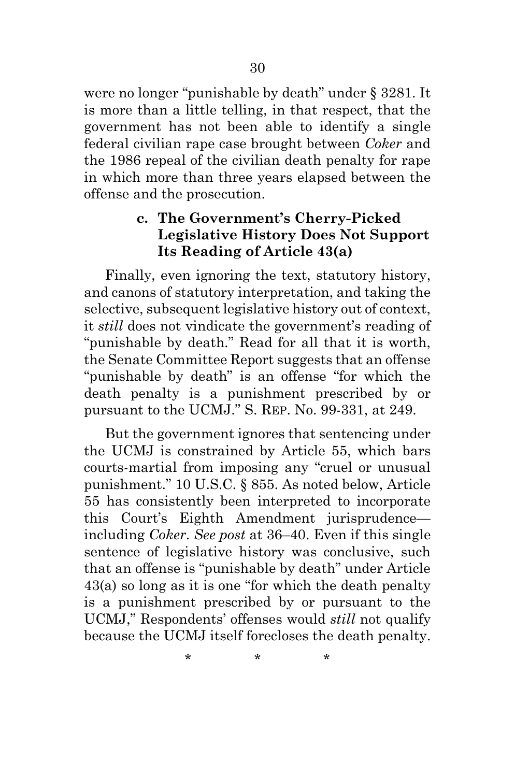were no longer "punishable by death" under § 3281. It is more than a little telling, in that respect, that the government has not been able to identify a single federal civilian rape case brought between *Coker* and the 1986 repeal of the civilian death penalty for rape in which more than three years elapsed between the offense and the prosecution.

## **c. The Government's Cherry-Picked Legislative History Does Not Support Its Reading of Article 43(a)**

Finally, even ignoring the text, statutory history, and canons of statutory interpretation, and taking the selective, subsequent legislative history out of context, it *still* does not vindicate the government's reading of "punishable by death." Read for all that it is worth, the Senate Committee Report suggests that an offense "punishable by death" is an offense "for which the death penalty is a punishment prescribed by or pursuant to the UCMJ." S. REP. No. 99-331, at 249.

But the government ignores that sentencing under the UCMJ is constrained by Article 55, which bars courts-martial from imposing any "cruel or unusual punishment." 10 U.S.C. § 855. As noted below, Article 55 has consistently been interpreted to incorporate this Court's Eighth Amendment jurisprudence including *Coker*. *See post* at 36–40. Even if this single sentence of legislative history was conclusive, such that an offense is "punishable by death" under Article 43(a) so long as it is one "for which the death penalty is a punishment prescribed by or pursuant to the UCMJ," Respondents' offenses would *still* not qualify because the UCMJ itself forecloses the death penalty.

\* \* \*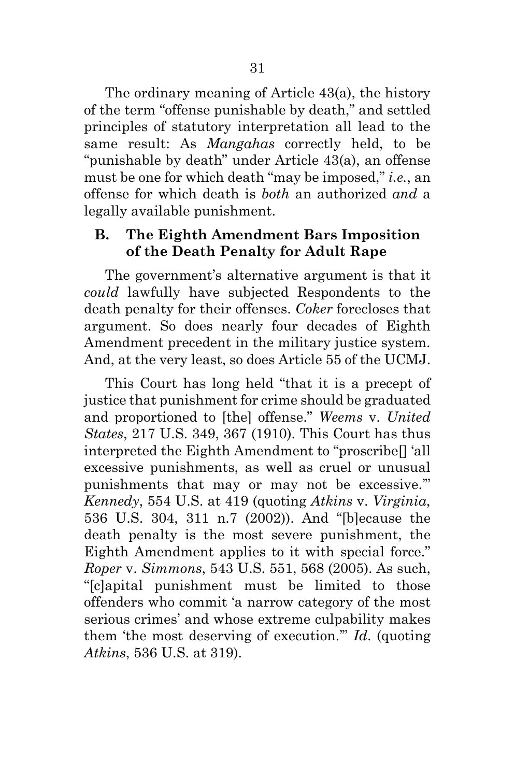The ordinary meaning of Article 43(a), the history of the term "offense punishable by death," and settled principles of statutory interpretation all lead to the same result: As *Mangahas* correctly held, to be "punishable by death" under Article 43(a), an offense must be one for which death "may be imposed," *i.e.*, an offense for which death is *both* an authorized *and* a legally available punishment.

### <span id="page-46-0"></span>**B. The Eighth Amendment Bars Imposition of the Death Penalty for Adult Rape**

The government's alternative argument is that it *could* lawfully have subjected Respondents to the death penalty for their offenses. *Coker* forecloses that argument. So does nearly four decades of Eighth Amendment precedent in the military justice system. And, at the very least, so does Article 55 of the UCMJ.

This Court has long held "that it is a precept of justice that punishment for crime should be graduated and proportioned to [the] offense." *Weems* v. *United States*, 217 U.S. 349, 367 (1910). This Court has thus interpreted the Eighth Amendment to "proscribe[] 'all excessive punishments, as well as cruel or unusual punishments that may or may not be excessive.'" *Kennedy*, 554 U.S. at 419 (quoting *Atkins* v. *Virginia*, 536 U.S. 304, 311 n.7 (2002)). And "[b]ecause the death penalty is the most severe punishment, the Eighth Amendment applies to it with special force." *Roper* v. *Simmons*, 543 U.S. 551, 568 (2005). As such, "[c]apital punishment must be limited to those offenders who commit 'a narrow category of the most serious crimes' and whose extreme culpability makes them 'the most deserving of execution.'" *Id*. (quoting *Atkins*, 536 U.S. at 319).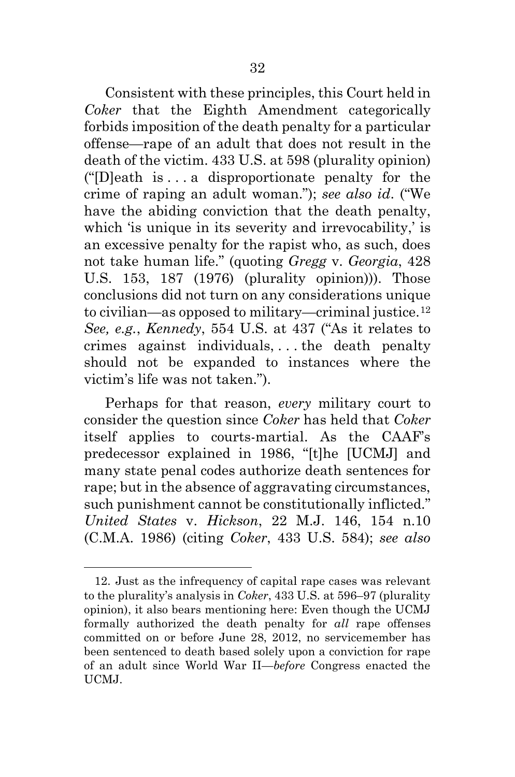Consistent with these principles, this Court held in *Coker* that the Eighth Amendment categorically forbids imposition of the death penalty for a particular offense—rape of an adult that does not result in the death of the victim. 433 U.S. at 598 (plurality opinion) ("[D]eath is . . . a disproportionate penalty for the crime of raping an adult woman."); *see also id*. ("We have the abiding conviction that the death penalty, which 'is unique in its severity and irrevocability,' is an excessive penalty for the rapist who, as such, does not take human life." (quoting *Gregg* v. *Georgia*, 428 U.S. 153, 187 (1976) (plurality opinion))). Those conclusions did not turn on any considerations unique to civilian—as opposed to military—criminal justice.[12](#page-47-0) *See, e.g.*, *Kennedy*, 554 U.S. at 437 ("As it relates to crimes against individuals, . . . the death penalty should not be expanded to instances where the victim's life was not taken.").

Perhaps for that reason, *every* military court to consider the question since *Coker* has held that *Coker* itself applies to courts-martial. As the CAAF's predecessor explained in 1986, "[t]he [UCMJ] and many state penal codes authorize death sentences for rape; but in the absence of aggravating circumstances, such punishment cannot be constitutionally inflicted." *United States* v. *Hickson*, 22 M.J. 146, 154 n.10 (C.M.A. 1986) (citing *Coker*, 433 U.S. 584); *see also* 

<span id="page-47-0"></span><sup>12.</sup> Just as the infrequency of capital rape cases was relevant to the plurality's analysis in *Coker*, 433 U.S. at 596–97 (plurality opinion), it also bears mentioning here: Even though the UCMJ formally authorized the death penalty for *all* rape offenses committed on or before June 28, 2012, no servicemember has been sentenced to death based solely upon a conviction for rape of an adult since World War II—*before* Congress enacted the UCMJ.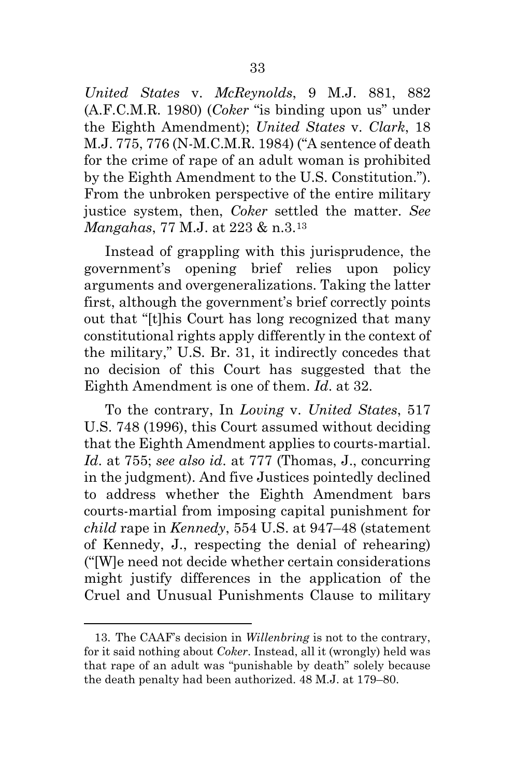*United States* v. *McReynolds*, 9 M.J. 881, 882 (A.F.C.M.R. 1980) (*Coker* "is binding upon us" under the Eighth Amendment); *United States* v. *Clark*, 18 M.J. 775, 776 (N-M.C.M.R. 1984) ("A sentence of death for the crime of rape of an adult woman is prohibited by the Eighth Amendment to the U.S. Constitution."). From the unbroken perspective of the entire military justice system, then, *Coker* settled the matter. *See Mangahas*, 77 M.J. at 223 & n.3.[13](#page-48-0)

Instead of grappling with this jurisprudence, the government's opening brief relies upon policy arguments and overgeneralizations. Taking the latter first, although the government's brief correctly points out that "[t]his Court has long recognized that many constitutional rights apply differently in the context of the military," U.S. Br. 31, it indirectly concedes that no decision of this Court has suggested that the Eighth Amendment is one of them. *Id*. at 32.

To the contrary, In *Loving* v. *United States*, 517 U.S. 748 (1996), this Court assumed without deciding that the Eighth Amendment applies to courts-martial. *Id*. at 755; *see also id*. at 777 (Thomas, J., concurring in the judgment). And five Justices pointedly declined to address whether the Eighth Amendment bars courts-martial from imposing capital punishment for *child* rape in *Kennedy*, 554 U.S. at 947–48 (statement of Kennedy, J., respecting the denial of rehearing) ("[W]e need not decide whether certain considerations might justify differences in the application of the Cruel and Unusual Punishments Clause to military

<span id="page-48-0"></span><sup>13.</sup> The CAAF's decision in *Willenbring* is not to the contrary, for it said nothing about *Coker*. Instead, all it (wrongly) held was that rape of an adult was "punishable by death" solely because the death penalty had been authorized. 48 M.J. at 179–80.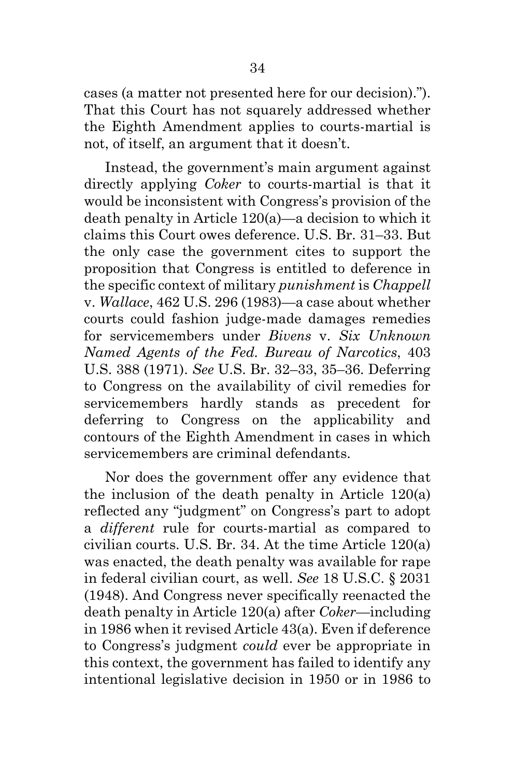cases (a matter not presented here for our decision)."). That this Court has not squarely addressed whether the Eighth Amendment applies to courts-martial is not, of itself, an argument that it doesn't.

Instead, the government's main argument against directly applying *Coker* to courts-martial is that it would be inconsistent with Congress's provision of the death penalty in Article 120(a)—a decision to which it claims this Court owes deference. U.S. Br. 31–33. But the only case the government cites to support the proposition that Congress is entitled to deference in the specific context of military *punishment* is *Chappell*  v. *Wallace*, 462 U.S. 296 (1983)—a case about whether courts could fashion judge-made damages remedies for servicemembers under *Bivens* v. *Six Unknown Named Agents of the Fed. Bureau of Narcotics*, 403 U.S. 388 (1971). *See* U.S. Br. 32–33, 35–36. Deferring to Congress on the availability of civil remedies for servicemembers hardly stands as precedent for deferring to Congress on the applicability and contours of the Eighth Amendment in cases in which servicemembers are criminal defendants.

Nor does the government offer any evidence that the inclusion of the death penalty in Article 120(a) reflected any "judgment" on Congress's part to adopt a *different* rule for courts-martial as compared to civilian courts. U.S. Br. 34. At the time Article 120(a) was enacted, the death penalty was available for rape in federal civilian court, as well. *See* 18 U.S.C. § 2031 (1948). And Congress never specifically reenacted the death penalty in Article 120(a) after *Coker*—including in 1986 when it revised Article 43(a). Even if deference to Congress's judgment *could* ever be appropriate in this context, the government has failed to identify any intentional legislative decision in 1950 or in 1986 to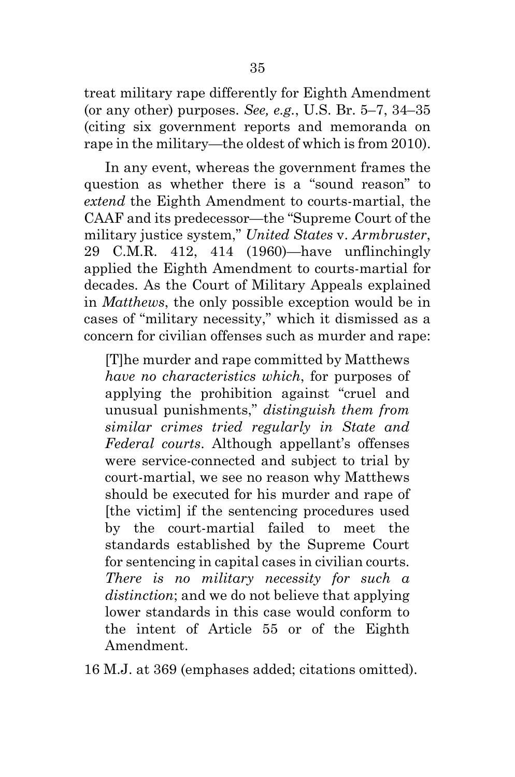treat military rape differently for Eighth Amendment (or any other) purposes. *See, e.g.*, U.S. Br. 5–7, 34–35 (citing six government reports and memoranda on rape in the military—the oldest of which is from 2010).

In any event, whereas the government frames the question as whether there is a "sound reason" to *extend* the Eighth Amendment to courts-martial, the CAAF and its predecessor—the "Supreme Court of the military justice system," *United States* v. *Armbruster*, 29 C.M.R. 412, 414 (1960)—have unflinchingly applied the Eighth Amendment to courts-martial for decades. As the Court of Military Appeals explained in *Matthews*, the only possible exception would be in cases of "military necessity," which it dismissed as a concern for civilian offenses such as murder and rape:

[T]he murder and rape committed by Matthews *have no characteristics which*, for purposes of applying the prohibition against "cruel and unusual punishments," *distinguish them from similar crimes tried regularly in State and Federal courts*. Although appellant's offenses were service-connected and subject to trial by court-martial, we see no reason why Matthews should be executed for his murder and rape of [the victim] if the sentencing procedures used by the court-martial failed to meet the standards established by the Supreme Court for sentencing in capital cases in civilian courts. *There is no military necessity for such a distinction*; and we do not believe that applying lower standards in this case would conform to the intent of Article 55 or of the Eighth Amendment.

16 M.J. at 369 (emphases added; citations omitted).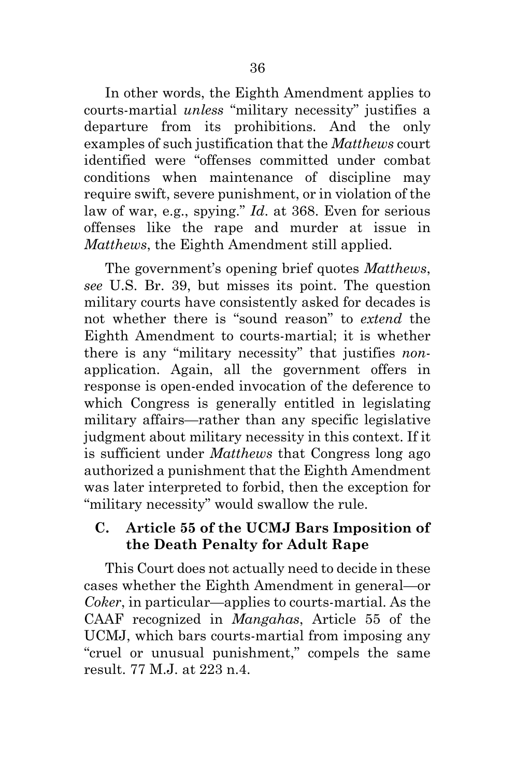In other words, the Eighth Amendment applies to courts-martial *unless* "military necessity" justifies a departure from its prohibitions. And the only examples of such justification that the *Matthews* court identified were "offenses committed under combat conditions when maintenance of discipline may require swift, severe punishment, or in violation of the law of war, e.g., spying." *Id*. at 368. Even for serious offenses like the rape and murder at issue in *Matthews*, the Eighth Amendment still applied.

The government's opening brief quotes *Matthews*, *see* U.S. Br. 39, but misses its point. The question military courts have consistently asked for decades is not whether there is "sound reason" to *extend* the Eighth Amendment to courts-martial; it is whether there is any "military necessity" that justifies *non*application. Again, all the government offers in response is open-ended invocation of the deference to which Congress is generally entitled in legislating military affairs—rather than any specific legislative judgment about military necessity in this context. If it is sufficient under *Matthews* that Congress long ago authorized a punishment that the Eighth Amendment was later interpreted to forbid, then the exception for "military necessity" would swallow the rule.

## <span id="page-51-0"></span>**C. Article 55 of the UCMJ Bars Imposition of the Death Penalty for Adult Rape**

This Court does not actually need to decide in these cases whether the Eighth Amendment in general—or *Coker*, in particular—applies to courts-martial. As the CAAF recognized in *Mangahas*, Article 55 of the UCMJ, which bars courts-martial from imposing any "cruel or unusual punishment," compels the same result. 77 M.J. at 223 n.4.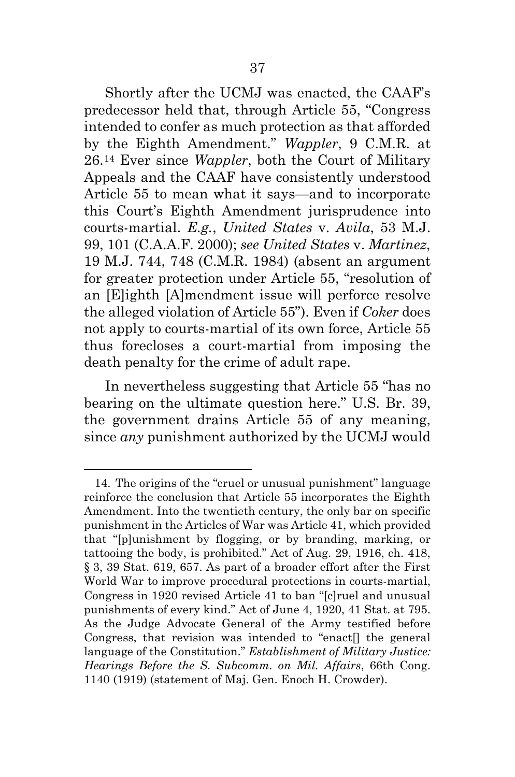Shortly after the UCMJ was enacted, the CAAF's predecessor held that, through Article 55, "Congress intended to confer as much protection as that afforded by the Eighth Amendment." *Wappler*, 9 C.M.R. at 26.[14](#page-52-0) Ever since *Wappler*, both the Court of Military Appeals and the CAAF have consistently understood Article 55 to mean what it says—and to incorporate this Court's Eighth Amendment jurisprudence into courts-martial. *E.g.*, *United States* v. *Avila*, 53 M.J. 99, 101 (C.A.A.F. 2000); *see United States* v. *Martinez*, 19 M.J. 744, 748 (C.M.R. 1984) (absent an argument for greater protection under Article 55, "resolution of an [E]ighth [A]mendment issue will perforce resolve the alleged violation of Article 55"). Even if *Coker* does not apply to courts-martial of its own force, Article 55 thus forecloses a court-martial from imposing the death penalty for the crime of adult rape.

In nevertheless suggesting that Article 55 "has no bearing on the ultimate question here." U.S. Br. 39, the government drains Article 55 of any meaning, since *any* punishment authorized by the UCMJ would

<span id="page-52-0"></span><sup>14.</sup> The origins of the "cruel or unusual punishment" language reinforce the conclusion that Article 55 incorporates the Eighth Amendment. Into the twentieth century, the only bar on specific punishment in the Articles of War was Article 41, which provided that "[p]unishment by flogging, or by branding, marking, or tattooing the body, is prohibited." Act of Aug. 29, 1916, ch. 418, § 3, 39 Stat. 619, 657. As part of a broader effort after the First World War to improve procedural protections in courts-martial, Congress in 1920 revised Article 41 to ban "[c]ruel and unusual punishments of every kind." Act of June 4, 1920, 41 Stat. at 795. As the Judge Advocate General of the Army testified before Congress, that revision was intended to "enact[] the general language of the Constitution." *Establishment of Military Justice: Hearings Before the S. Subcomm. on Mil. Affairs*, 66th Cong. 1140 (1919) (statement of Maj. Gen. Enoch H. Crowder).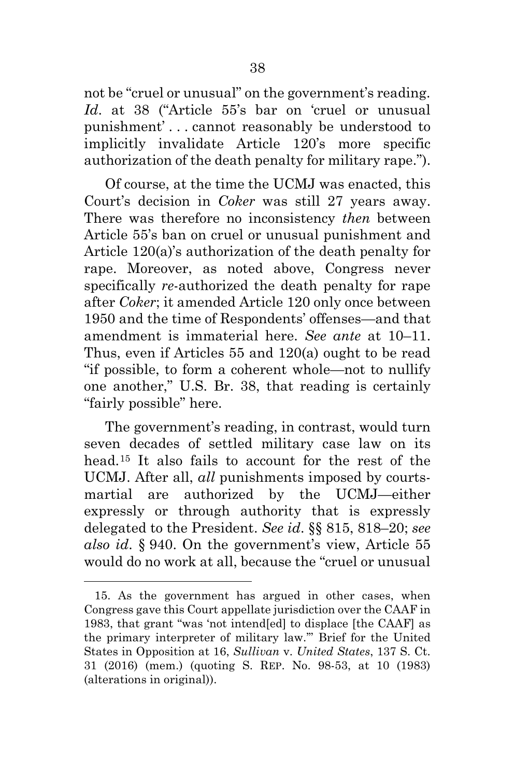not be "cruel or unusual" on the government's reading. Id. at 38 ("Article 55's bar on 'cruel or unusual punishment' . . . cannot reasonably be understood to implicitly invalidate Article 120's more specific authorization of the death penalty for military rape.").

Of course, at the time the UCMJ was enacted, this Court's decision in *Coker* was still 27 years away. There was therefore no inconsistency *then* between Article 55's ban on cruel or unusual punishment and Article 120(a)'s authorization of the death penalty for rape. Moreover, as noted above, Congress never specifically *re*-authorized the death penalty for rape after *Coker*; it amended Article 120 only once between 1950 and the time of Respondents' offenses—and that amendment is immaterial here. *See ante* at 10–11. Thus, even if Articles 55 and 120(a) ought to be read "if possible, to form a coherent whole—not to nullify one another," U.S. Br. 38, that reading is certainly "fairly possible" here.

The government's reading, in contrast, would turn seven decades of settled military case law on its head.[15](#page-53-0) It also fails to account for the rest of the UCMJ. After all, *all* punishments imposed by courtsmartial are authorized by the UCMJ—either expressly or through authority that is expressly delegated to the President. *See id*. §§ 815, 818–20; *see also id*. § 940. On the government's view, Article 55 would do no work at all, because the "cruel or unusual

<span id="page-53-0"></span><sup>15.</sup> As the government has argued in other cases, when Congress gave this Court appellate jurisdiction over the CAAF in 1983, that grant "was 'not intend[ed] to displace [the CAAF] as the primary interpreter of military law.'" Brief for the United States in Opposition at 16, *Sullivan* v. *United States*, 137 S. Ct. 31 (2016) (mem.) (quoting S. REP. No. 98-53, at 10 (1983) (alterations in original)).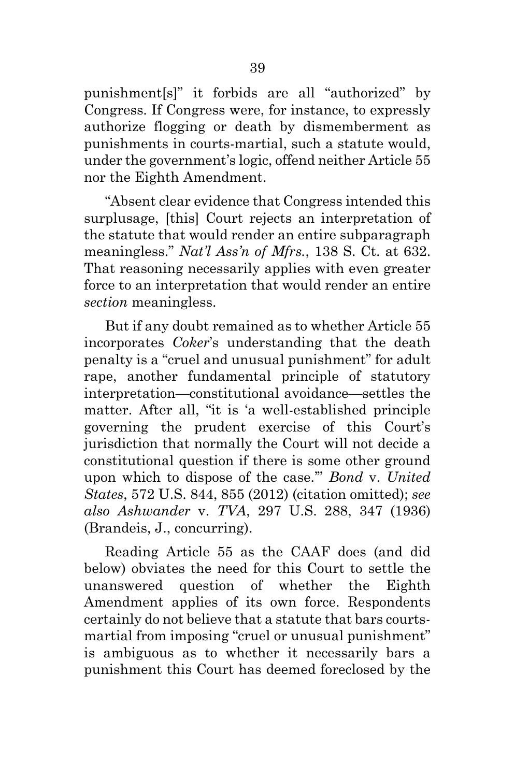punishment[s]" it forbids are all "authorized" by Congress. If Congress were, for instance, to expressly authorize flogging or death by dismemberment as punishments in courts-martial, such a statute would, under the government's logic, offend neither Article 55 nor the Eighth Amendment.

"Absent clear evidence that Congress intended this surplusage, [this] Court rejects an interpretation of the statute that would render an entire subparagraph meaningless." *Nat'l Ass'n of Mfrs.*, 138 S. Ct. at 632. That reasoning necessarily applies with even greater force to an interpretation that would render an entire *section* meaningless.

But if any doubt remained as to whether Article 55 incorporates *Coker*'s understanding that the death penalty is a "cruel and unusual punishment" for adult rape, another fundamental principle of statutory interpretation—constitutional avoidance—settles the matter. After all, "it is 'a well-established principle governing the prudent exercise of this Court's jurisdiction that normally the Court will not decide a constitutional question if there is some other ground upon which to dispose of the case.'" *Bond* v. *United States*, 572 U.S. 844, 855 (2012) (citation omitted); *see also Ashwander* v. *TVA*, 297 U.S. 288, 347 (1936) (Brandeis, J., concurring).

Reading Article 55 as the CAAF does (and did below) obviates the need for this Court to settle the unanswered question of whether the Eighth Amendment applies of its own force. Respondents certainly do not believe that a statute that bars courtsmartial from imposing "cruel or unusual punishment" is ambiguous as to whether it necessarily bars a punishment this Court has deemed foreclosed by the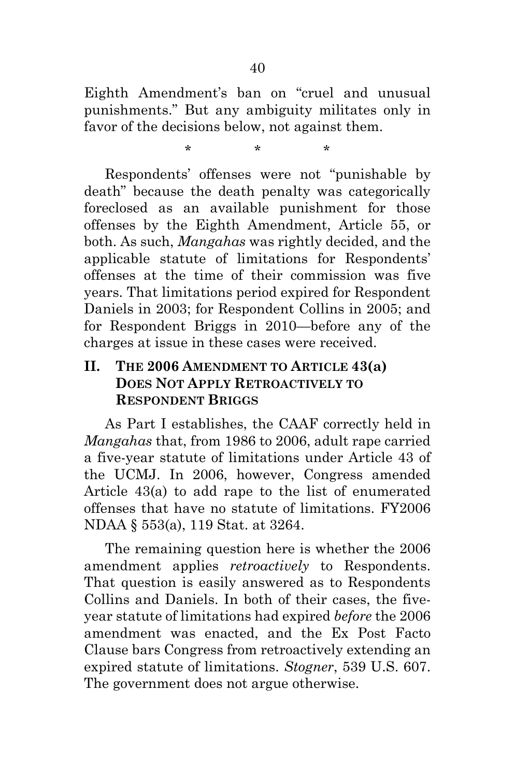Eighth Amendment's ban on "cruel and unusual punishments." But any ambiguity militates only in favor of the decisions below, not against them.

\* \* \*

Respondents' offenses were not "punishable by death" because the death penalty was categorically foreclosed as an available punishment for those offenses by the Eighth Amendment, Article 55, or both. As such, *Mangahas* was rightly decided, and the applicable statute of limitations for Respondents' offenses at the time of their commission was five years. That limitations period expired for Respondent Daniels in 2003; for Respondent Collins in 2005; and for Respondent Briggs in 2010—before any of the charges at issue in these cases were received.

# <span id="page-55-0"></span>**II. THE 2006 AMENDMENT TO ARTICLE 43(a) DOES NOT APPLY RETROACTIVELY TO RESPONDENT BRIGGS**

As Part I establishes, the CAAF correctly held in *Mangahas* that, from 1986 to 2006, adult rape carried a five-year statute of limitations under Article 43 of the UCMJ. In 2006, however, Congress amended Article 43(a) to add rape to the list of enumerated offenses that have no statute of limitations. FY2006 NDAA § 553(a), 119 Stat. at 3264.

The remaining question here is whether the 2006 amendment applies *retroactively* to Respondents. That question is easily answered as to Respondents Collins and Daniels. In both of their cases, the fiveyear statute of limitations had expired *before* the 2006 amendment was enacted, and the Ex Post Facto Clause bars Congress from retroactively extending an expired statute of limitations. *Stogner*, 539 U.S. 607. The government does not argue otherwise.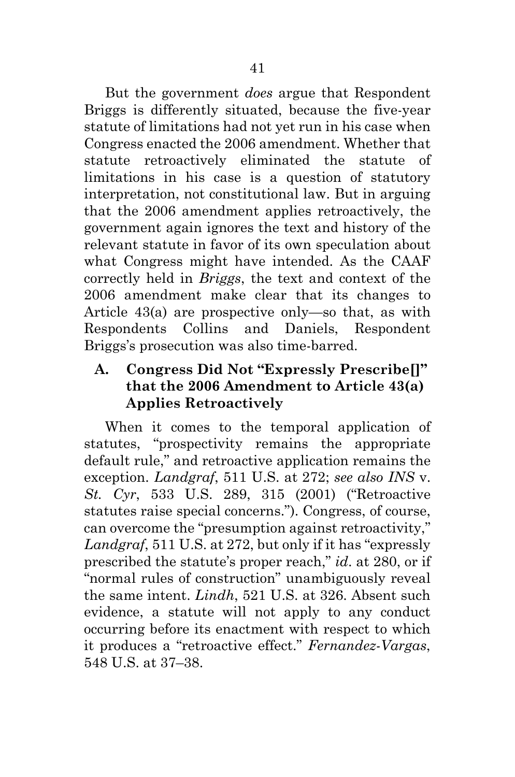But the government *does* argue that Respondent Briggs is differently situated, because the five-year statute of limitations had not yet run in his case when Congress enacted the 2006 amendment. Whether that statute retroactively eliminated the statute of limitations in his case is a question of statutory interpretation, not constitutional law. But in arguing that the 2006 amendment applies retroactively, the government again ignores the text and history of the relevant statute in favor of its own speculation about what Congress might have intended. As the CAAF correctly held in *Briggs*, the text and context of the 2006 amendment make clear that its changes to Article 43(a) are prospective only—so that, as with Respondents Collins and Daniels, Respondent Briggs's prosecution was also time-barred.

# <span id="page-56-0"></span>**A. Congress Did Not "Expressly Prescribe[]" that the 2006 Amendment to Article 43(a) Applies Retroactively**

When it comes to the temporal application of statutes, "prospectivity remains the appropriate default rule," and retroactive application remains the exception. *Landgraf*, 511 U.S. at 272; *see also INS* v. *St. Cyr*, 533 U.S. 289, 315 (2001) ("Retroactive statutes raise special concerns."). Congress, of course, can overcome the "presumption against retroactivity," *Landgraf*, 511 U.S. at 272, but only if it has "expressly prescribed the statute's proper reach," *id*. at 280, or if "normal rules of construction" unambiguously reveal the same intent. *Lindh*, 521 U.S. at 326. Absent such evidence, a statute will not apply to any conduct occurring before its enactment with respect to which it produces a "retroactive effect." *Fernandez-Vargas*, 548 U.S. at 37–38.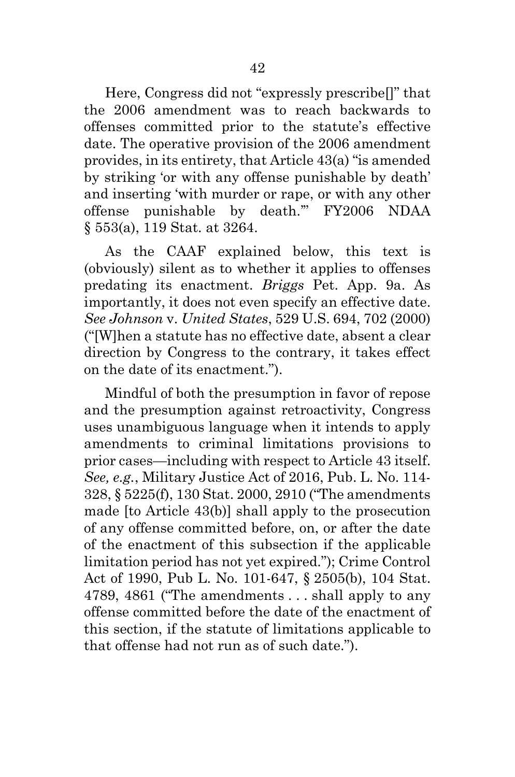Here, Congress did not "expressly prescribe[]" that the 2006 amendment was to reach backwards to offenses committed prior to the statute's effective date. The operative provision of the 2006 amendment provides, in its entirety, that Article 43(a) "is amended by striking 'or with any offense punishable by death' and inserting 'with murder or rape, or with any other offense punishable by death.'" FY2006 NDAA § 553(a), 119 Stat. at 3264.

As the CAAF explained below, this text is (obviously) silent as to whether it applies to offenses predating its enactment. *Briggs* Pet. App. 9a. As importantly, it does not even specify an effective date. *See Johnson* v. *United States*, 529 U.S. 694, 702 (2000) ("[W]hen a statute has no effective date, absent a clear direction by Congress to the contrary, it takes effect on the date of its enactment.").

Mindful of both the presumption in favor of repose and the presumption against retroactivity, Congress uses unambiguous language when it intends to apply amendments to criminal limitations provisions to prior cases—including with respect to Article 43 itself. *See, e.g.*, Military Justice Act of 2016, Pub. L. No. 114- 328, § 5225(f), 130 Stat. 2000, 2910 ("The amendments made [to Article 43(b)] shall apply to the prosecution of any offense committed before, on, or after the date of the enactment of this subsection if the applicable limitation period has not yet expired."); Crime Control Act of 1990, Pub L. No. 101-647, § 2505(b), 104 Stat. 4789, 4861 ("The amendments . . . shall apply to any offense committed before the date of the enactment of this section, if the statute of limitations applicable to that offense had not run as of such date.").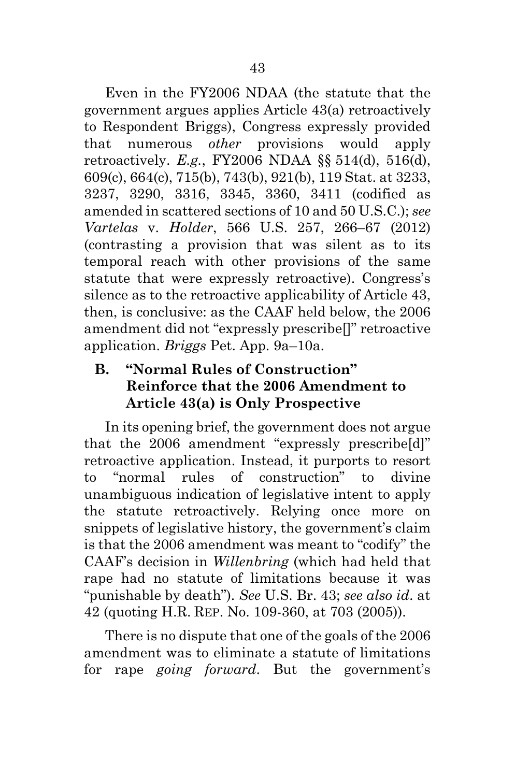Even in the FY2006 NDAA (the statute that the government argues applies Article 43(a) retroactively to Respondent Briggs), Congress expressly provided that numerous *other* provisions would apply retroactively. *E.g.*, FY2006 NDAA §§ 514(d), 516(d), 609(c), 664(c), 715(b), 743(b), 921(b), 119 Stat. at 3233, 3237, 3290, 3316, 3345, 3360, 3411 (codified as amended in scattered sections of 10 and 50 U.S.C.); *see Vartelas* v. *Holder*, 566 U.S. 257, 266–67 (2012) (contrasting a provision that was silent as to its temporal reach with other provisions of the same statute that were expressly retroactive). Congress's silence as to the retroactive applicability of Article 43, then, is conclusive: as the CAAF held below, the 2006 amendment did not "expressly prescribe[]" retroactive application. *Briggs* Pet. App. 9a–10a.

# <span id="page-58-0"></span>**B. "Normal Rules of Construction" Reinforce that the 2006 Amendment to Article 43(a) is Only Prospective**

In its opening brief, the government does not argue that the 2006 amendment "expressly prescribe[d]" retroactive application. Instead, it purports to resort to "normal rules of construction" to divine unambiguous indication of legislative intent to apply the statute retroactively. Relying once more on snippets of legislative history, the government's claim is that the 2006 amendment was meant to "codify" the CAAF's decision in *Willenbring* (which had held that rape had no statute of limitations because it was "punishable by death"). *See* U.S. Br. 43; *see also id*. at 42 (quoting H.R. REP. No. 109-360, at 703 (2005)).

There is no dispute that one of the goals of the 2006 amendment was to eliminate a statute of limitations for rape *going forward*. But the government's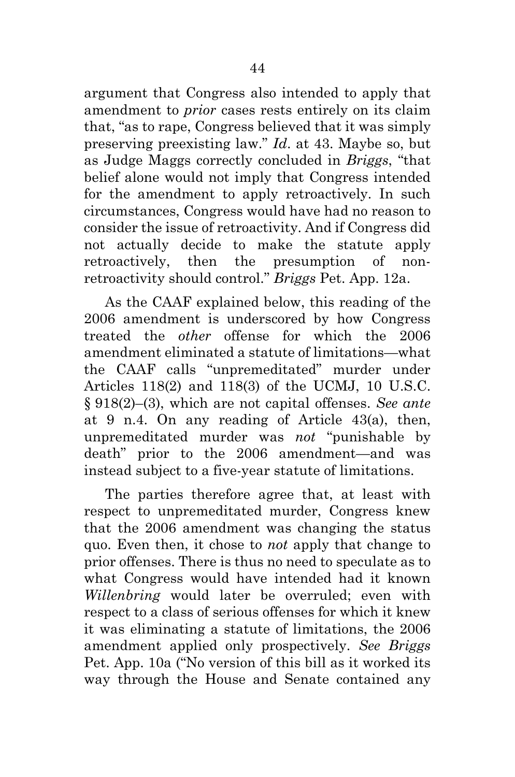argument that Congress also intended to apply that amendment to *prior* cases rests entirely on its claim that, "as to rape, Congress believed that it was simply preserving preexisting law." *Id*. at 43. Maybe so, but as Judge Maggs correctly concluded in *Briggs*, "that belief alone would not imply that Congress intended for the amendment to apply retroactively. In such circumstances, Congress would have had no reason to consider the issue of retroactivity. And if Congress did not actually decide to make the statute apply retroactively, then the presumption of nonretroactivity should control." *Briggs* Pet. App. 12a.

As the CAAF explained below, this reading of the 2006 amendment is underscored by how Congress treated the *other* offense for which the 2006 amendment eliminated a statute of limitations—what the CAAF calls "unpremeditated" murder under Articles 118(2) and 118(3) of the UCMJ, 10 U.S.C. § 918(2)–(3), which are not capital offenses. *See ante*  at 9 n.4. On any reading of Article 43(a), then, unpremeditated murder was *not* "punishable by death" prior to the 2006 amendment—and was instead subject to a five-year statute of limitations.

The parties therefore agree that, at least with respect to unpremeditated murder, Congress knew that the 2006 amendment was changing the status quo. Even then, it chose to *not* apply that change to prior offenses. There is thus no need to speculate as to what Congress would have intended had it known *Willenbring* would later be overruled; even with respect to a class of serious offenses for which it knew it was eliminating a statute of limitations, the 2006 amendment applied only prospectively. *See Briggs* Pet. App. 10a ("No version of this bill as it worked its way through the House and Senate contained any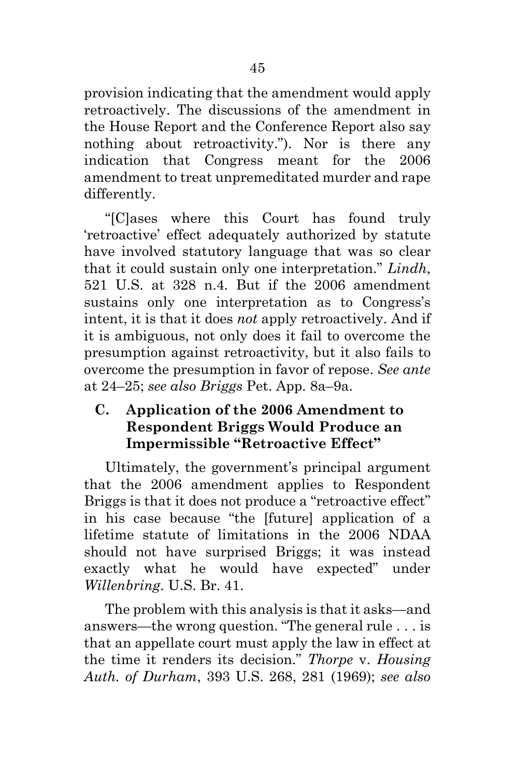provision indicating that the amendment would apply retroactively. The discussions of the amendment in the House Report and the Conference Report also say nothing about retroactivity."). Nor is there any indication that Congress meant for the 2006 amendment to treat unpremeditated murder and rape differently.

"[C]ases where this Court has found truly 'retroactive' effect adequately authorized by statute have involved statutory language that was so clear that it could sustain only one interpretation." *Lindh*, 521 U.S. at 328 n.4. But if the 2006 amendment sustains only one interpretation as to Congress's intent, it is that it does *not* apply retroactively. And if it is ambiguous, not only does it fail to overcome the presumption against retroactivity, but it also fails to overcome the presumption in favor of repose. *See ante*  at 24–25; *see also Briggs* Pet. App. 8a–9a.

## <span id="page-60-0"></span>**C. Application of the 2006 Amendment to Respondent Briggs Would Produce an Impermissible "Retroactive Effect"**

Ultimately, the government's principal argument that the 2006 amendment applies to Respondent Briggs is that it does not produce a "retroactive effect" in his case because "the [future] application of a lifetime statute of limitations in the 2006 NDAA should not have surprised Briggs; it was instead exactly what he would have expected" under *Willenbring*. U.S. Br. 41.

The problem with this analysis is that it asks—and answers—the wrong question. "The general rule . . . is that an appellate court must apply the law in effect at the time it renders its decision." *Thorpe* v. *Housing Auth. of Durham*, 393 U.S. 268, 281 (1969); *see also*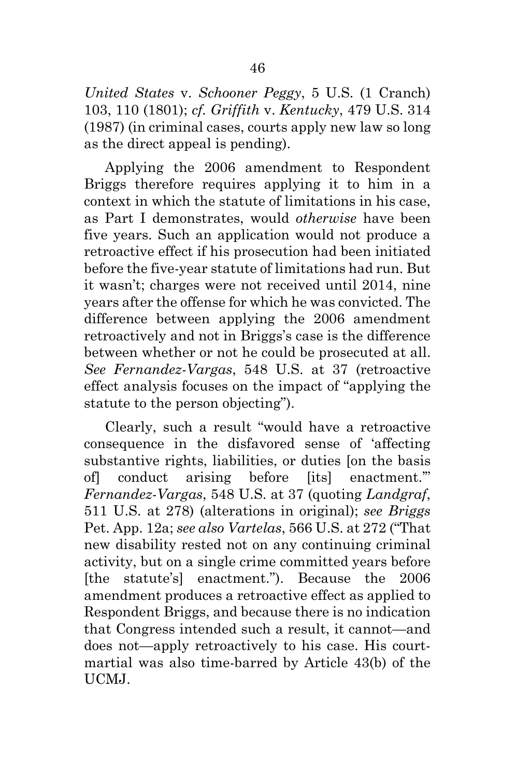*United States* v. *Schooner Peggy*, 5 U.S. (1 Cranch) 103, 110 (1801); *cf. Griffith* v. *Kentucky*, 479 U.S. 314 (1987) (in criminal cases, courts apply new law so long as the direct appeal is pending).

Applying the 2006 amendment to Respondent Briggs therefore requires applying it to him in a context in which the statute of limitations in his case, as Part I demonstrates, would *otherwise* have been five years. Such an application would not produce a retroactive effect if his prosecution had been initiated before the five-year statute of limitations had run. But it wasn't; charges were not received until 2014, nine years after the offense for which he was convicted. The difference between applying the 2006 amendment retroactively and not in Briggs's case is the difference between whether or not he could be prosecuted at all. *See Fernandez-Vargas*, 548 U.S. at 37 (retroactive effect analysis focuses on the impact of "applying the statute to the person objecting").

Clearly, such a result "would have a retroactive consequence in the disfavored sense of 'affecting substantive rights, liabilities, or duties [on the basis of] conduct arising before [its] enactment.'" *Fernandez-Vargas*, 548 U.S. at 37 (quoting *Landgraf*, 511 U.S. at 278) (alterations in original); *see Briggs* Pet. App. 12a; *see also Vartelas*, 566 U.S. at 272 ("That new disability rested not on any continuing criminal activity, but on a single crime committed years before [the statute's] enactment."). Because the 2006 amendment produces a retroactive effect as applied to Respondent Briggs, and because there is no indication that Congress intended such a result, it cannot—and does not—apply retroactively to his case. His courtmartial was also time-barred by Article 43(b) of the UCMJ.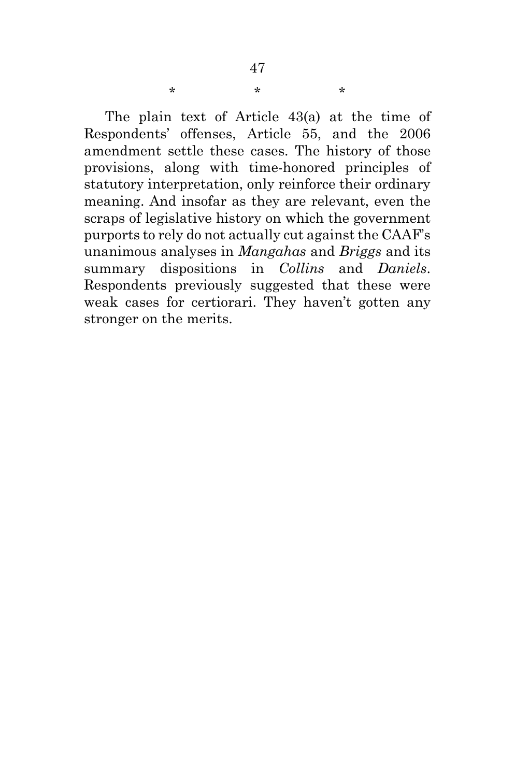The plain text of Article 43(a) at the time of Respondents' offenses, Article 55, and the 2006 amendment settle these cases. The history of those provisions, along with time-honored principles of statutory interpretation, only reinforce their ordinary meaning. And insofar as they are relevant, even the scraps of legislative history on which the government purports to rely do not actually cut against the CAAF's unanimous analyses in *Mangahas* and *Briggs* and its summary dispositions in *Collins* and *Daniels*. Respondents previously suggested that these were weak cases for certiorari. They haven't gotten any stronger on the merits.